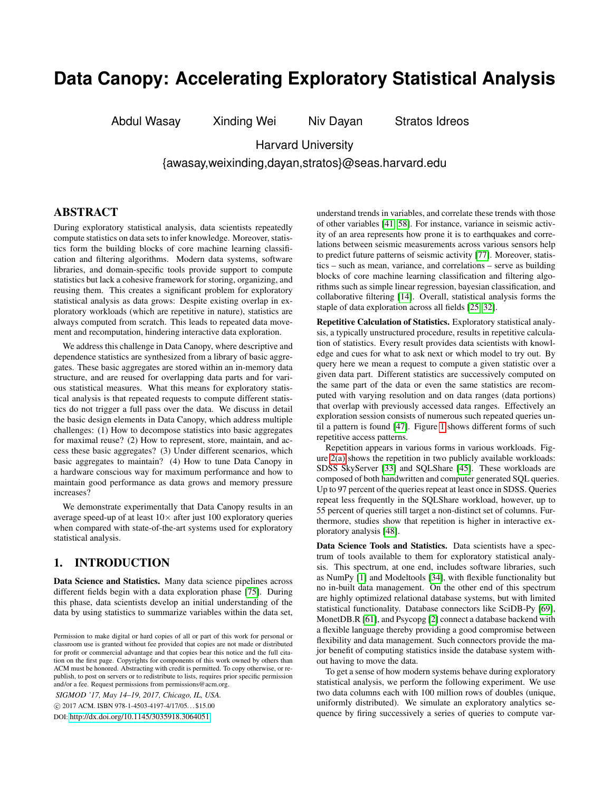# **Data Canopy: Accelerating Exploratory Statistical Analysis**

Abdul Wasay Xinding Wei Niv Dayan Stratos Idreos

Harvard University

{awasay,weixinding,dayan,stratos}@seas.harvard.edu

# ABSTRACT

During exploratory statistical analysis, data scientists repeatedly compute statistics on data sets to infer knowledge. Moreover, statistics form the building blocks of core machine learning classification and filtering algorithms. Modern data systems, software libraries, and domain-specific tools provide support to compute statistics but lack a cohesive framework for storing, organizing, and reusing them. This creates a significant problem for exploratory statistical analysis as data grows: Despite existing overlap in exploratory workloads (which are repetitive in nature), statistics are always computed from scratch. This leads to repeated data movement and recomputation, hindering interactive data exploration.

We address this challenge in Data Canopy, where descriptive and dependence statistics are synthesized from a library of basic aggregates. These basic aggregates are stored within an in-memory data structure, and are reused for overlapping data parts and for various statistical measures. What this means for exploratory statistical analysis is that repeated requests to compute different statistics do not trigger a full pass over the data. We discuss in detail the basic design elements in Data Canopy, which address multiple challenges: (1) How to decompose statistics into basic aggregates for maximal reuse? (2) How to represent, store, maintain, and access these basic aggregates? (3) Under different scenarios, which basic aggregates to maintain? (4) How to tune Data Canopy in a hardware conscious way for maximum performance and how to maintain good performance as data grows and memory pressure increases?

We demonstrate experimentally that Data Canopy results in an average speed-up of at least  $10\times$  after just 100 exploratory queries when compared with state-of-the-art systems used for exploratory statistical analysis.

# <span id="page-0-0"></span>1. INTRODUCTION

Data Science and Statistics. Many data science pipelines across different fields begin with a data exploration phase [\[75\]](#page-13-0). During this phase, data scientists develop an initial understanding of the data by using statistics to summarize variables within the data set,

*SIGMOD '17, May 14–19, 2017, Chicago, IL, USA.* c 2017 ACM. ISBN 978-1-4503-4197-4/17/05. . . \$15.00

DOI: <http://dx.doi.org/10.1145/3035918.3064051>

understand trends in variables, and correlate these trends with those of other variables [\[41,](#page-12-0) [58\]](#page-12-1). For instance, variance in seismic activity of an area represents how prone it is to earthquakes and correlations between seismic measurements across various sensors help to predict future patterns of seismic activity [\[77\]](#page-13-1). Moreover, statistics – such as mean, variance, and correlations – serve as building blocks of core machine learning classification and filtering algorithms such as simple linear regression, bayesian classification, and collaborative filtering [\[14\]](#page-12-2). Overall, statistical analysis forms the staple of data exploration across all fields [\[25,](#page-12-3) [32\]](#page-12-4).

Repetitive Calculation of Statistics. Exploratory statistical analysis, a typically unstructured procedure, results in repetitive calculation of statistics. Every result provides data scientists with knowledge and cues for what to ask next or which model to try out. By query here we mean a request to compute a given statistic over a given data part. Different statistics are successively computed on the same part of the data or even the same statistics are recomputed with varying resolution and on data ranges (data portions) that overlap with previously accessed data ranges. Effectively an exploration session consists of numerous such repeated queries until a pattern is found [\[47\]](#page-12-5). Figure [1](#page-1-0) shows different forms of such repetitive access patterns.

Repetition appears in various forms in various workloads. Figure [2\(a\)](#page-1-1) shows the repetition in two publicly available workloads: SDSS SkyServer [\[33\]](#page-12-6) and SQLShare [\[45\]](#page-12-7). These workloads are composed of both handwritten and computer generated SQL queries. Up to 97 percent of the queries repeat at least once in SDSS. Queries repeat less frequently in the SQLShare workload, however, up to 55 percent of queries still target a non-distinct set of columns. Furthermore, studies show that repetition is higher in interactive exploratory analysis [\[48\]](#page-12-8).

Data Science Tools and Statistics. Data scientists have a spectrum of tools available to them for exploratory statistical analysis. This spectrum, at one end, includes software libraries, such as NumPy [\[1\]](#page-11-0) and Modeltools [\[34\]](#page-12-9), with flexible functionality but no in-built data management. On the other end of this spectrum are highly optimized relational database systems, but with limited statistical functionality. Database connectors like SciDB-Py [\[69\]](#page-13-2), MonetDB.R [\[61\]](#page-12-10), and Psycopg [\[2\]](#page-11-1) connect a database backend with a flexible language thereby providing a good compromise between flexibility and data management. Such connectors provide the major benefit of computing statistics inside the database system without having to move the data.

To get a sense of how modern systems behave during exploratory statistical analysis, we perform the following experiment. We use two data columns each with 100 million rows of doubles (unique, uniformly distributed). We simulate an exploratory analytics sequence by firing successively a series of queries to compute var-

Permission to make digital or hard copies of all or part of this work for personal or classroom use is granted without fee provided that copies are not made or distributed for profit or commercial advantage and that copies bear this notice and the full citation on the first page. Copyrights for components of this work owned by others than ACM must be honored. Abstracting with credit is permitted. To copy otherwise, or republish, to post on servers or to redistribute to lists, requires prior specific permission and/or a fee. Request permissions from permissions@acm.org.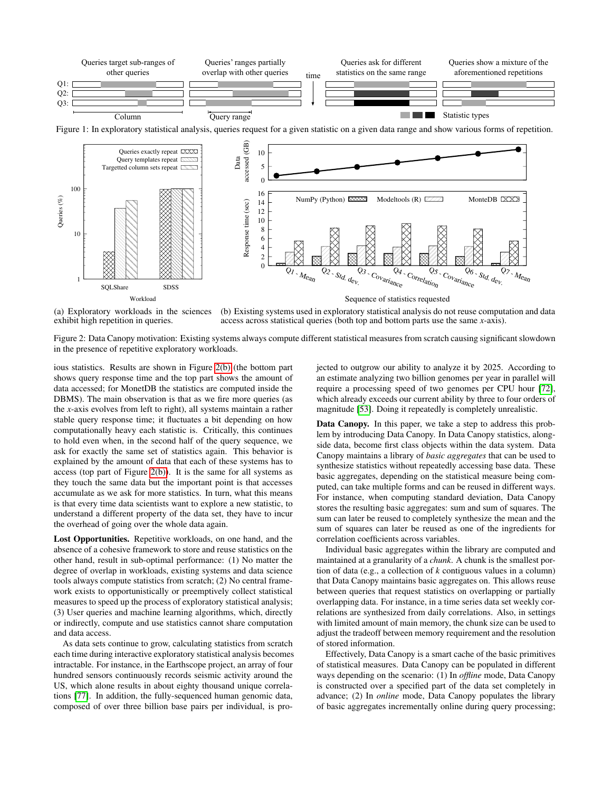<span id="page-1-0"></span>

<span id="page-1-1"></span>

(a) Exploratory workloads in the sciences exhibit high repetition in queries.

<span id="page-1-2"></span>(b) Existing systems used in exploratory statistical analysis do not reuse computation and data access across statistical queries (both top and bottom parts use the same *x*-axis).

NumPy (Python) XXXX Modeltools (R) ZZZZ MonteDB XXX

Figure 2: Data Canopy motivation: Existing systems always compute different statistical measures from scratch causing significant slowdown in the presence of repetitive exploratory workloads.

ious statistics. Results are shown in Figure [2\(b\)](#page-1-2) (the bottom part shows query response time and the top part shows the amount of data accessed; for MonetDB the statistics are computed inside the DBMS). The main observation is that as we fire more queries (as the *x*-axis evolves from left to right), all systems maintain a rather stable query response time; it fluctuates a bit depending on how computationally heavy each statistic is. Critically, this continues to hold even when, in the second half of the query sequence, we ask for exactly the same set of statistics again. This behavior is explained by the amount of data that each of these systems has to access (top part of Figure [2\(b\)\)](#page-1-2). It is the same for all systems as they touch the same data but the important point is that accesses accumulate as we ask for more statistics. In turn, what this means is that every time data scientists want to explore a new statistic, to understand a different property of the data set, they have to incur the overhead of going over the whole data again.

Lost Opportunities. Repetitive workloads, on one hand, and the absence of a cohesive framework to store and reuse statistics on the other hand, result in sub-optimal performance: (1) No matter the degree of overlap in workloads, existing systems and data science tools always compute statistics from scratch; (2) No central framework exists to opportunistically or preemptively collect statistical measures to speed up the process of exploratory statistical analysis; (3) User queries and machine learning algorithms, which, directly or indirectly, compute and use statistics cannot share computation and data access.

As data sets continue to grow, calculating statistics from scratch each time during interactive exploratory statistical analysis becomes intractable. For instance, in the Earthscope project, an array of four hundred sensors continuously records seismic activity around the US, which alone results in about eighty thousand unique correlations [\[77\]](#page-13-1). In addition, the fully-sequenced human genomic data, composed of over three billion base pairs per individual, is projected to outgrow our ability to analyze it by 2025. According to an estimate analyzing two billion genomes per year in parallel will require a processing speed of two genomes per CPU hour [\[72\]](#page-13-3), which already exceeds our current ability by three to four orders of magnitude [\[53\]](#page-12-11). Doing it repeatedly is completely unrealistic.

 $M_{\rm eqn}$ 

Data Canopy. In this paper, we take a step to address this problem by introducing Data Canopy. In Data Canopy statistics, alongside data, become first class objects within the data system. Data Canopy maintains a library of *basic aggregates* that can be used to synthesize statistics without repeatedly accessing base data. These basic aggregates, depending on the statistical measure being computed, can take multiple forms and can be reused in different ways. For instance, when computing standard deviation, Data Canopy stores the resulting basic aggregates: sum and sum of squares. The sum can later be reused to completely synthesize the mean and the sum of squares can later be reused as one of the ingredients for correlation coefficients across variables.

Individual basic aggregates within the library are computed and maintained at a granularity of a *chunk*. A chunk is the smallest portion of data (e.g., a collection of *k* contiguous values in a column) that Data Canopy maintains basic aggregates on. This allows reuse between queries that request statistics on overlapping or partially overlapping data. For instance, in a time series data set weekly correlations are synthesized from daily correlations. Also, in settings with limited amount of main memory, the chunk size can be used to adjust the tradeoff between memory requirement and the resolution of stored information.

Effectively, Data Canopy is a smart cache of the basic primitives of statistical measures. Data Canopy can be populated in different ways depending on the scenario: (1) In *offline* mode, Data Canopy is constructed over a specified part of the data set completely in advance; (2) In *online* mode, Data Canopy populates the library of basic aggregates incrementally online during query processing;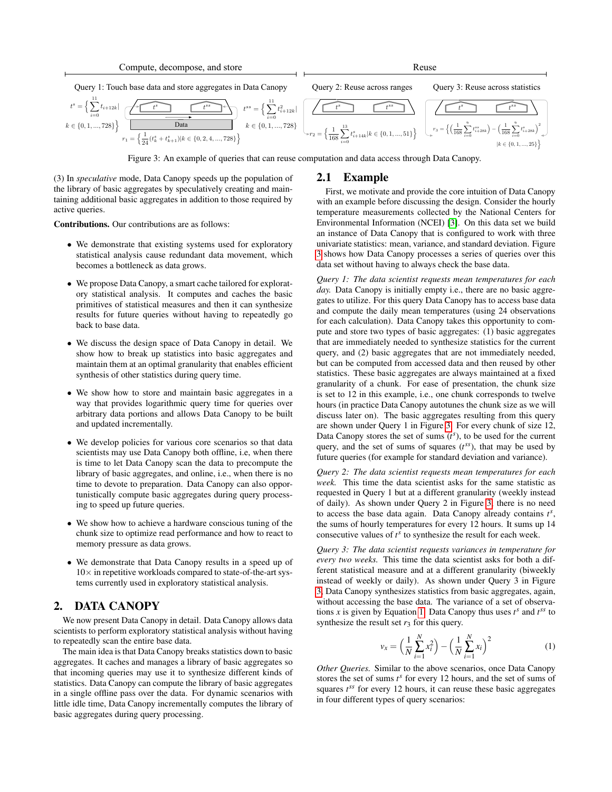<span id="page-2-0"></span>

Figure 3: An example of queries that can reuse computation and data access through Data Canopy.

(3) In *speculative* mode, Data Canopy speeds up the population of the library of basic aggregates by speculatively creating and maintaining additional basic aggregates in addition to those required by active queries.

Contributions. Our contributions are as follows:

- We demonstrate that existing systems used for exploratory statistical analysis cause redundant data movement, which becomes a bottleneck as data grows.
- We propose Data Canopy, a smart cache tailored for exploratory statistical analysis. It computes and caches the basic primitives of statistical measures and then it can synthesize results for future queries without having to repeatedly go back to base data.
- We discuss the design space of Data Canopy in detail. We show how to break up statistics into basic aggregates and maintain them at an optimal granularity that enables efficient synthesis of other statistics during query time.
- We show how to store and maintain basic aggregates in a way that provides logarithmic query time for queries over arbitrary data portions and allows Data Canopy to be built and updated incrementally.
- We develop policies for various core scenarios so that data scientists may use Data Canopy both offline, i.e, when there is time to let Data Canopy scan the data to precompute the library of basic aggregates, and online, i.e., when there is no time to devote to preparation. Data Canopy can also opportunistically compute basic aggregates during query processing to speed up future queries.
- We show how to achieve a hardware conscious tuning of the chunk size to optimize read performance and how to react to memory pressure as data grows.
- We demonstrate that Data Canopy results in a speed up of  $10\times$  in repetitive workloads compared to state-of-the-art systems currently used in exploratory statistical analysis.

#### <span id="page-2-2"></span>2. DATA CANOPY

We now present Data Canopy in detail. Data Canopy allows data scientists to perform exploratory statistical analysis without having to repeatedly scan the entire base data.

The main idea is that Data Canopy breaks statistics down to basic aggregates. It caches and manages a library of basic aggregates so that incoming queries may use it to synthesize different kinds of statistics. Data Canopy can compute the library of basic aggregates in a single offline pass over the data. For dynamic scenarios with little idle time, Data Canopy incrementally computes the library of basic aggregates during query processing.

#### 2.1 Example

First, we motivate and provide the core intuition of Data Canopy with an example before discussing the design. Consider the hourly temperature measurements collected by the National Centers for Environmental Information (NCEI) [\[3\]](#page-11-2). On this data set we build an instance of Data Canopy that is configured to work with three univariate statistics: mean, variance, and standard deviation. Figure [3](#page-2-0) shows how Data Canopy processes a series of queries over this data set without having to always check the base data.

*Query 1: The data scientist requests mean temperatures for each* day. Data Canopy is initially empty i.e., there are no basic aggregates to utilize. For this query Data Canopy has to access base data and compute the daily mean temperatures (using 24 observations for each calculation). Data Canopy takes this opportunity to compute and store two types of basic aggregates: (1) basic aggregates that are immediately needed to synthesize statistics for the current query, and (2) basic aggregates that are not immediately needed, but can be computed from accessed data and then reused by other statistics. These basic aggregates are always maintained at a fixed granularity of a chunk. For ease of presentation, the chunk size is set to 12 in this example, i.e., one chunk corresponds to twelve hours (in practice Data Canopy autotunes the chunk size as we will discuss later on). The basic aggregates resulting from this query are shown under Query 1 in Figure [3.](#page-2-0) For every chunk of size 12, Data Canopy stores the set of sums  $(t^s)$ , to be used for the current query, and the set of sums of squares  $(t^{ss})$ , that may be used by future queries (for example for standard deviation and variance).

*Query 2: The data scientist requests mean temperatures for each week.* This time the data scientist asks for the same statistic as requested in Query 1 but at a different granularity (weekly instead of daily). As shown under Query 2 in Figure [3,](#page-2-0) there is no need to access the base data again. Data Canopy already contains  $t^s$ , the sums of hourly temperatures for every 12 hours. It sums up 14 consecutive values of  $t^s$  to synthesize the result for each week.

*Query 3: The data scientist requests variances in temperature for every two weeks.* This time the data scientist asks for both a different statistical measure and at a different granularity (biweekly instead of weekly or daily). As shown under Query 3 in Figure [3,](#page-2-0) Data Canopy synthesizes statistics from basic aggregates, again, without accessing the base data. The variance of a set of observations *x* is given by Equation [1.](#page-2-1) Data Canopy thus uses  $t^s$  and  $t^{ss}$  to synthesize the result set  $r_3$  for this query.

<span id="page-2-1"></span>
$$
v_x = \left(\frac{1}{N} \sum_{i=1}^{N} x_i^2\right) - \left(\frac{1}{N} \sum_{i=1}^{N} x_i\right)^2
$$
 (1)

*Other Queries.* Similar to the above scenarios, once Data Canopy stores the set of sums  $t^s$  for every 12 hours, and the set of sums of squares  $t^{ss}$  for every 12 hours, it can reuse these basic aggregates in four different types of query scenarios: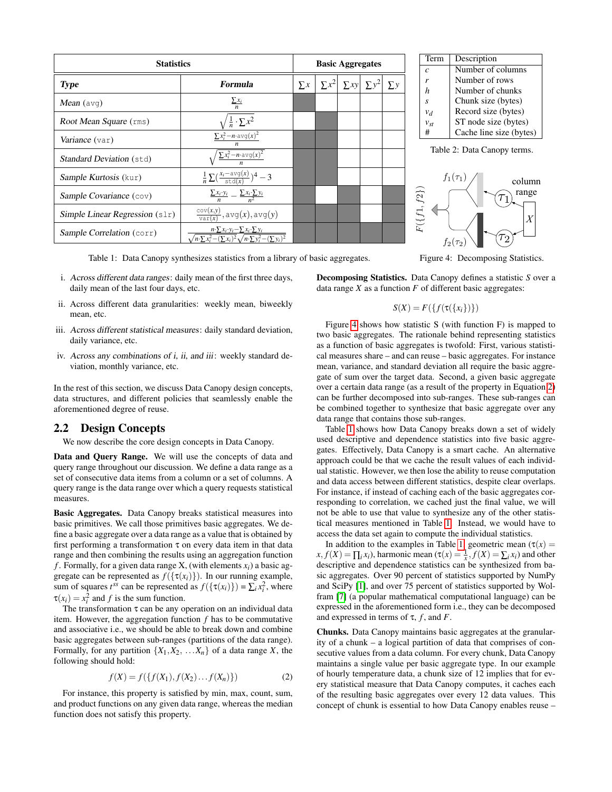<span id="page-3-0"></span>

| <b>Statistics</b>                  |                                                                                                                                              |          | <b>Basic Aggregates</b> |  |                         |          |  |
|------------------------------------|----------------------------------------------------------------------------------------------------------------------------------------------|----------|-------------------------|--|-------------------------|----------|--|
| <b>Type</b>                        | <b>Formula</b>                                                                                                                               | $\sum x$ | $\sum x^2$              |  | $\sum xy \mid \sum y^2$ | $\sum y$ |  |
| <b>Mean</b> ( $avg$ )              | $\Sigma x_i$<br>$\boldsymbol{n}$                                                                                                             |          |                         |  |                         |          |  |
| Root Mean Square (rms)             | $\frac{1}{n} \cdot \sum x^2$                                                                                                                 |          |                         |  |                         |          |  |
| Variance (var)                     | $\sum x_i^2 - n \cdot \text{avg}(x)^2$                                                                                                       |          |                         |  |                         |          |  |
| <b>Standard Deviation (std)</b>    | $\sum x_i^2 - n \cdot \text{avg}(x)^2$                                                                                                       |          |                         |  |                         |          |  |
| Sample Kurtosis (kur)              | $\frac{1}{n} \sum \left( \frac{x_i - \text{avg}(x)}{\text{std}(x)} \right)^4 - 3$                                                            |          |                         |  |                         |          |  |
| Sample Covariance (cov)            | $\frac{\sum x_i \cdot y_i}{\sum x_i} = \frac{\sum x_i \cdot \sum y_i}{\sum x_i}$                                                             |          |                         |  |                         |          |  |
| Simple Linear Regression $(s \ln)$ | $\frac{\text{cov}(x,y)}{\text{var}(x)}$ , avg $(x)$ , avg $(y)$                                                                              |          |                         |  |                         |          |  |
| Sample Correlation (corr)          | $n\cdot \sum x_i \cdot y_i - \sum x_i \cdot \sum y_i$<br>$\sqrt{n \cdot \sum x_i^2 - (\sum x_i)^2} \sqrt{n \cdot \sum y_i^2 - (\sum y_i)^2}$ |          |                         |  |                         |          |  |

Term Description *c* Number of columns *r* Number of rows *h* Number of chunks *s* Chunk size (bytes)  $v_d$  Record size (bytes)  $v_{st}$  ST node size (bytes)<br>  $\frac{4}{5}$  Cache line size (byte Cache line size (bytes) Table 2: Data Canopy terms.  $f_1(\tau_1)$ column



Table 1: Data Canopy synthesizes statistics from a library of basic aggregates.

- i. Across different data ranges: daily mean of the first three days, daily mean of the last four days, etc.
- ii. Across different data granularities: weekly mean, biweekly mean, etc.
- iii. Across different statistical measures: daily standard deviation, daily variance, etc.
- iv. Across any combinations of i, ii, and iii: weekly standard deviation, monthly variance, etc.

In the rest of this section, we discuss Data Canopy design concepts, data structures, and different policies that seamlessly enable the aforementioned degree of reuse.

#### 2.2 Design Concepts

We now describe the core design concepts in Data Canopy.

Data and Query Range. We will use the concepts of data and query range throughout our discussion. We define a data range as a set of consecutive data items from a column or a set of columns. A query range is the data range over which a query requests statistical measures.

Basic Aggregates. Data Canopy breaks statistical measures into basic primitives. We call those primitives basic aggregates. We define a basic aggregate over a data range as a value that is obtained by first performing a transformation  $\tau$  on every data item in that data range and then combining the results using an aggregation function *f*. Formally, for a given data range X, (with elements  $x_i$ ) a basic aggregate can be represented as  $f({\tau(x_i)})$ ). In our running example, sum of squares  $t^{ss}$  can be represented as  $f(\{\tau(x_i)\}) = \sum_i x_i^2$ , where  $\tau(x_i) = x_i^2$  and *f* is the sum function.

The transformation  $\tau$  can be any operation on an individual data item. However, the aggregation function *f* has to be commutative and associative i.e., we should be able to break down and combine basic aggregates between sub-ranges (partitions of the data range). Formally, for any partition  $\{X_1, X_2, \ldots, X_n\}$  of a data range *X*, the following should hold:

<span id="page-3-1"></span>
$$
f(X) = f(\{f(X_1), f(X_2) \dots f(X_n)\})
$$
 (2)

For instance, this property is satisfied by min, max, count, sum, and product functions on any given data range, whereas the median function does not satisfy this property.

Figure 4: Decomposing Statistics.

Decomposing Statistics. Data Canopy defines a statistic *S* over a data range  $X$  as a function  $F$  of different basic aggregates:

#### $S(X) = F({f(\tau({x_i}))})$

Figure [4](#page-3-0) shows how statistic S (with function F) is mapped to two basic aggregates. The rationale behind representing statistics as a function of basic aggregates is twofold: First, various statistical measures share – and can reuse – basic aggregates. For instance mean, variance, and standard deviation all require the basic aggregate of sum over the target data. Second, a given basic aggregate over a certain data range (as a result of the property in Equation [2\)](#page-3-1) can be further decomposed into sub-ranges. These sub-ranges can be combined together to synthesize that basic aggregate over any data range that contains those sub-ranges.

Table [1](#page-3-0) shows how Data Canopy breaks down a set of widely used descriptive and dependence statistics into five basic aggregates. Effectively, Data Canopy is a smart cache. An alternative approach could be that we cache the result values of each individual statistic. However, we then lose the ability to reuse computation and data access between different statistics, despite clear overlaps. For instance, if instead of caching each of the basic aggregates corresponding to correlation, we cached just the final value, we will not be able to use that value to synthesize any of the other statistical measures mentioned in Table [1.](#page-3-0) Instead, we would have to access the data set again to compute the individual statistics.

In addition to the examples in Table [1,](#page-3-0) geometric mean  $(\tau(x))$  $x, f(X) = \prod_i x_i$ , harmonic mean  $(\tau(x)) = \frac{1}{x}, f(X) = \sum_i x_i$  and other descriptive and dependence statistics can be synthesized from basic aggregates. Over 90 percent of statistics supported by NumPy and SciPy [\[1\]](#page-11-0), and over 75 percent of statistics supported by Wolfram [\[7\]](#page-11-3) (a popular mathematical computational language) can be expressed in the aforementioned form i.e., they can be decomposed and expressed in terms of  $\tau$ ,  $f$ , and  $F$ .

Chunks. Data Canopy maintains basic aggregates at the granularity of a chunk – a logical partition of data that comprises of consecutive values from a data column. For every chunk, Data Canopy maintains a single value per basic aggregate type. In our example of hourly temperature data, a chunk size of 12 implies that for every statistical measure that Data Canopy computes, it caches each of the resulting basic aggregates over every 12 data values. This concept of chunk is essential to how Data Canopy enables reuse –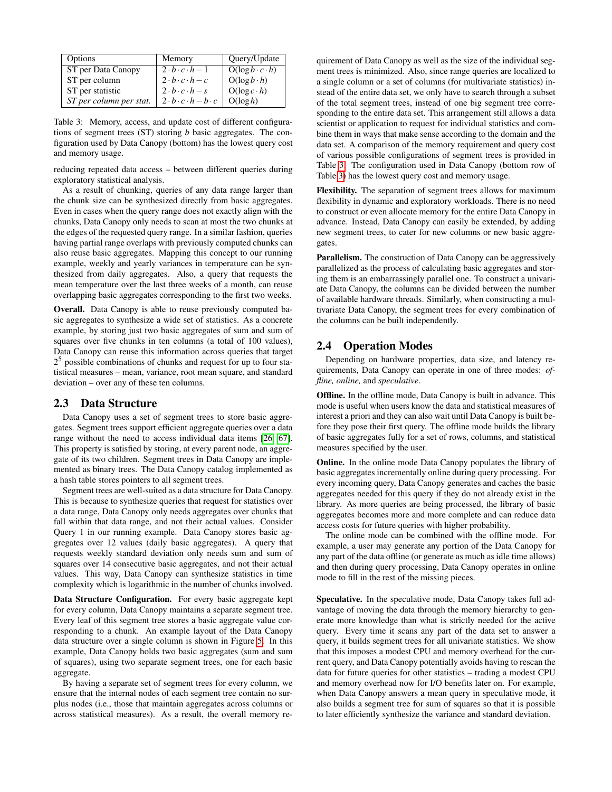<span id="page-4-0"></span>

| Options                 | Memory                                  | Query/Update               |
|-------------------------|-----------------------------------------|----------------------------|
| ST per Data Canopy      | $2 \cdot b \cdot c \cdot h - 1$         | $O(log b \cdot c \cdot h)$ |
| ST per column           | $2 \cdot b \cdot c \cdot h - c$         | $O(log b \cdot h)$         |
| ST per statistic        | $2 \cdot b \cdot c \cdot h - s$         | $O(log c \cdot h)$         |
| ST per column per stat. | $2 \cdot b \cdot c \cdot h - b \cdot c$ | O(log h)                   |

Table 3: Memory, access, and update cost of different configurations of segment trees (ST) storing *b* basic aggregates. The configuration used by Data Canopy (bottom) has the lowest query cost and memory usage.

reducing repeated data access – between different queries during exploratory statistical analysis.

As a result of chunking, queries of any data range larger than the chunk size can be synthesized directly from basic aggregates. Even in cases when the query range does not exactly align with the chunks, Data Canopy only needs to scan at most the two chunks at the edges of the requested query range. In a similar fashion, queries having partial range overlaps with previously computed chunks can also reuse basic aggregates. Mapping this concept to our running example, weekly and yearly variances in temperature can be synthesized from daily aggregates. Also, a query that requests the mean temperature over the last three weeks of a month, can reuse overlapping basic aggregates corresponding to the first two weeks.

Overall. Data Canopy is able to reuse previously computed basic aggregates to synthesize a wide set of statistics. As a concrete example, by storing just two basic aggregates of sum and sum of squares over five chunks in ten columns (a total of 100 values), Data Canopy can reuse this information across queries that target 2 <sup>5</sup> possible combinations of chunks and request for up to four statistical measures – mean, variance, root mean square, and standard deviation – over any of these ten columns.

#### 2.3 Data Structure

Data Canopy uses a set of segment trees to store basic aggregates. Segment trees support efficient aggregate queries over a data range without the need to access individual data items [\[26,](#page-12-12) [67\]](#page-13-4). This property is satisfied by storing, at every parent node, an aggregate of its two children. Segment trees in Data Canopy are implemented as binary trees. The Data Canopy catalog implemented as a hash table stores pointers to all segment trees.

Segment trees are well-suited as a data structure for Data Canopy. This is because to synthesize queries that request for statistics over a data range, Data Canopy only needs aggregates over chunks that fall within that data range, and not their actual values. Consider Query 1 in our running example. Data Canopy stores basic aggregates over 12 values (daily basic aggregates). A query that requests weekly standard deviation only needs sum and sum of squares over 14 consecutive basic aggregates, and not their actual values. This way, Data Canopy can synthesize statistics in time complexity which is logarithmic in the number of chunks involved.

Data Structure Configuration. For every basic aggregate kept for every column, Data Canopy maintains a separate segment tree. Every leaf of this segment tree stores a basic aggregate value corresponding to a chunk. An example layout of the Data Canopy data structure over a single column is shown in Figure [5.](#page-5-0) In this example, Data Canopy holds two basic aggregates (sum and sum of squares), using two separate segment trees, one for each basic aggregate.

By having a separate set of segment trees for every column, we ensure that the internal nodes of each segment tree contain no surplus nodes (i.e., those that maintain aggregates across columns or across statistical measures). As a result, the overall memory requirement of Data Canopy as well as the size of the individual segment trees is minimized. Also, since range queries are localized to a single column or a set of columns (for multivariate statistics) instead of the entire data set, we only have to search through a subset of the total segment trees, instead of one big segment tree corresponding to the entire data set. This arrangement still allows a data scientist or application to request for individual statistics and combine them in ways that make sense according to the domain and the data set. A comparison of the memory requirement and query cost of various possible configurations of segment trees is provided in Table [3.](#page-4-0) The configuration used in Data Canopy (bottom row of Table [3\)](#page-4-0) has the lowest query cost and memory usage.

Flexibility. The separation of segment trees allows for maximum flexibility in dynamic and exploratory workloads. There is no need to construct or even allocate memory for the entire Data Canopy in advance. Instead, Data Canopy can easily be extended, by adding new segment trees, to cater for new columns or new basic aggregates.

Parallelism. The construction of Data Canopy can be aggressively parallelized as the process of calculating basic aggregates and storing them is an embarrassingly parallel one. To construct a univariate Data Canopy, the columns can be divided between the number of available hardware threads. Similarly, when constructing a multivariate Data Canopy, the segment trees for every combination of the columns can be built independently.

#### 2.4 Operation Modes

Depending on hardware properties, data size, and latency requirements, Data Canopy can operate in one of three modes: *offline, online,* and *speculative*.

Offline. In the offline mode, Data Canopy is built in advance. This mode is useful when users know the data and statistical measures of interest a priori and they can also wait until Data Canopy is built before they pose their first query. The offline mode builds the library of basic aggregates fully for a set of rows, columns, and statistical measures specified by the user.

Online. In the online mode Data Canopy populates the library of basic aggregates incrementally online during query processing. For every incoming query, Data Canopy generates and caches the basic aggregates needed for this query if they do not already exist in the library. As more queries are being processed, the library of basic aggregates becomes more and more complete and can reduce data access costs for future queries with higher probability.

The online mode can be combined with the offline mode. For example, a user may generate any portion of the Data Canopy for any part of the data offline (or generate as much as idle time allows) and then during query processing, Data Canopy operates in online mode to fill in the rest of the missing pieces.

Speculative. In the speculative mode, Data Canopy takes full advantage of moving the data through the memory hierarchy to generate more knowledge than what is strictly needed for the active query. Every time it scans any part of the data set to answer a query, it builds segment trees for all univariate statistics. We show that this imposes a modest CPU and memory overhead for the current query, and Data Canopy potentially avoids having to rescan the data for future queries for other statistics – trading a modest CPU and memory overhead now for I/O benefits later on. For example, when Data Canopy answers a mean query in speculative mode, it also builds a segment tree for sum of squares so that it is possible to later efficiently synthesize the variance and standard deviation.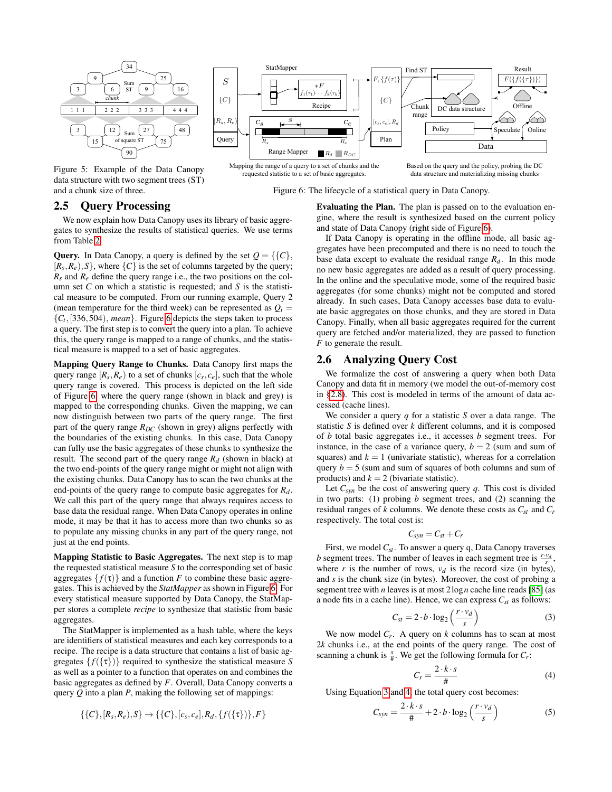<span id="page-5-0"></span>

Figure 5: Example of the Data Canopy data structure with two segment trees (ST) and a chunk size of three.

#### StatMapper Find ST Result  $S$   $\Box$  $F, \{f(\tau)$  $*F$  $f_1(\tau_1) \cdots f_k(\tau_k)$ β  ${C}$  ${C}$ Recipe Offline Chunk DC data structure range  $c_s$   $\overrightarrow{c_s}$   $c_e$  $R_s, R_e$  $[c_s, c_e]$ , R Policy Speculate *(Online* RDC Query  $R_{\text{a}}$  Plan  $\overline{R}$  $R_s$ Data Range Mapper  $R_d$   $R_{DC}$ Mapping the range of a query to a set of chunks and the Based on the query and the policy, probing the DC

requested statistic to a set of basic aggregates. data structure and materializing missing chunks

Figure 6: The lifecycle of a statistical query in Data Canopy.

# 2.5 Query Processing

We now explain how Data Canopy uses its library of basic aggregates to synthesize the results of statistical queries. We use terms from Table [2.](#page-3-0)

**Query.** In Data Canopy, a query is defined by the set  $Q = \{ \{C \}, \}$  $[R_s, R_e), S\}$ , where  $\{C\}$  is the set of columns targeted by the query; *Rs* and *Re* define the query range i.e., the two positions on the column set *C* on which a statistic is requested; and *S* is the statistical measure to be computed. From our running example, Query 2 (mean temperature for the third week) can be represented as  $Q_t$  =  ${C_t}$ , [336, 504), *mean*}. Figure [6](#page-5-0) depicts the steps taken to process a query. The first step is to convert the query into a plan. To achieve this, the query range is mapped to a range of chunks, and the statistical measure is mapped to a set of basic aggregates.

Mapping Query Range to Chunks. Data Canopy first maps the query range  $[R_s, R_e)$  to a set of chunks  $[c_s, c_e]$ , such that the whole query range is covered. This process is depicted on the left side of Figure [6,](#page-5-0) where the query range (shown in black and grey) is mapped to the corresponding chunks. Given the mapping, we can now distinguish between two parts of the query range. The first part of the query range  $R_{DC}$  (shown in grey) aligns perfectly with the boundaries of the existing chunks. In this case, Data Canopy can fully use the basic aggregates of these chunks to synthesize the result. The second part of the query range  $R_d$  (shown in black) at the two end-points of the query range might or might not align with the existing chunks. Data Canopy has to scan the two chunks at the end-points of the query range to compute basic aggregates for *Rd*. We call this part of the query range that always requires access to base data the residual range. When Data Canopy operates in online mode, it may be that it has to access more than two chunks so as to populate any missing chunks in any part of the query range, not just at the end points.

Mapping Statistic to Basic Aggregates. The next step is to map the requested statistical measure *S* to the corresponding set of basic aggregates  $\{f(\tau)\}\$ and a function *F* to combine these basic aggregates. This is achieved by the *StatMapper* as shown in Figure [6.](#page-5-0) For every statistical measure supported by Data Canopy, the StatMapper stores a complete *recipe* to synthesize that statistic from basic aggregates.

The StatMapper is implemented as a hash table, where the keys are identifiers of statistical measures and each key corresponds to a recipe. The recipe is a data structure that contains a list of basic aggregates  $\{f(\{\tau\})\}$  required to synthesize the statistical measure *S* as well as a pointer to a function that operates on and combines the basic aggregates as defined by *F*. Overall, Data Canopy converts a query *Q* into a plan *P*, making the following set of mappings:

$$
{\{C\}, [R_s, R_e), S\} \rightarrow {\{C\}, [c_s, c_e], R_d, \{f({\{\tau\}})\}, F\}}
$$

Evaluating the Plan. The plan is passed on to the evaluation engine, where the result is synthesized based on the current policy and state of Data Canopy (right side of Figure [6\)](#page-5-0).

If Data Canopy is operating in the offline mode, all basic aggregates have been precomputed and there is no need to touch the base data except to evaluate the residual range  $R_d$ . In this mode no new basic aggregates are added as a result of query processing. In the online and the speculative mode, some of the required basic aggregates (for some chunks) might not be computed and stored already. In such cases, Data Canopy accesses base data to evaluate basic aggregates on those chunks, and they are stored in Data Canopy. Finally, when all basic aggregates required for the current query are fetched and/or materialized, they are passed to function *F* to generate the result.

#### 2.6 Analyzing Query Cost

We formalize the cost of answering a query when both Data Canopy and data fit in memory (we model the out-of-memory cost in [§2.8\)](#page-7-0). This cost is modeled in terms of the amount of data accessed (cache lines).

We consider a query *q* for a statistic *S* over a data range. The statistic *S* is defined over *k* different columns, and it is composed of *b* total basic aggregates i.e., it accesses *b* segment trees. For instance, in the case of a variance query,  $b = 2$  (sum and sum of squares) and  $k = 1$  (univariate statistic), whereas for a correlation query  $b = 5$  (sum and sum of squares of both columns and sum of products) and  $k = 2$  (bivariate statistic).

Let  $C_{syn}$  be the cost of answering query  $q$ . This cost is divided in two parts: (1) probing *b* segment trees, and (2) scanning the residual ranges of *k* columns. We denote these costs as  $C_{st}$  and  $C_r$ respectively. The total cost is:

$$
C_{syn} = C_{st} + C_r
$$

First, we model *Cst* . To answer a query q, Data Canopy traverses *b* segment trees. The number of leaves in each segment tree is  $\frac{r \cdot v_d}{s}$ , where *r* is the number of rows,  $v_d$  is the record size (in bytes), and *s* is the chunk size (in bytes). Moreover, the cost of probing a segment tree with *n* leaves is at most 2log*n* cache line reads [\[85\]](#page-13-5) (as a node fits in a cache line). Hence, we can express  $C_{st}$  as follows:

<span id="page-5-1"></span>
$$
C_{st} = 2 \cdot b \cdot \log_2\left(\frac{r \cdot v_d}{s}\right) \tag{3}
$$

We now model  $C_r$ . A query on  $k$  columns has to scan at most 2*k* chunks i.e., at the end points of the query range. The cost of scanning a chunk is  $\frac{s}{\#}$ . We get the following formula for  $C_r$ :

<span id="page-5-2"></span>
$$
C_r = \frac{2 \cdot k \cdot s}{\#} \tag{4}
$$

Using Equation [3](#page-5-1) and [4,](#page-5-2) the total query cost becomes:

<span id="page-5-3"></span>
$$
C_{syn} = \frac{2 \cdot k \cdot s}{\#} + 2 \cdot b \cdot \log_2\left(\frac{r \cdot v_d}{s}\right) \tag{5}
$$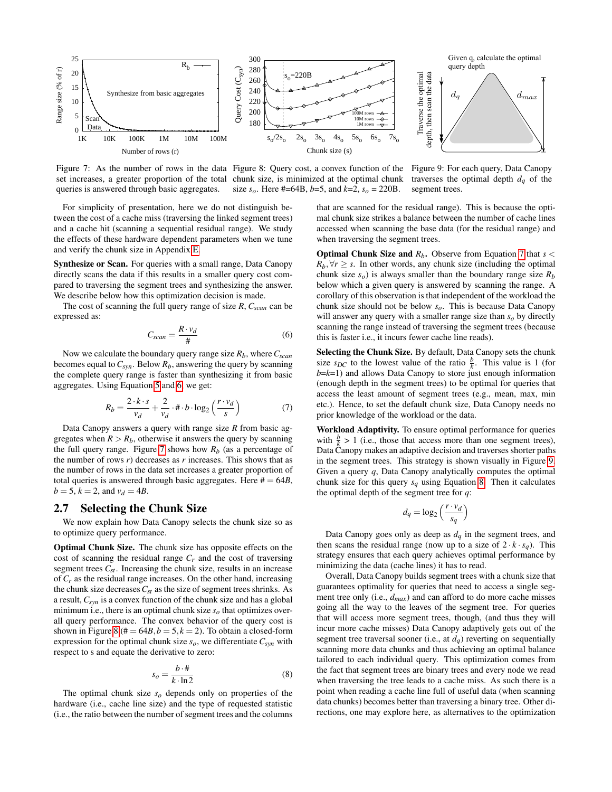<span id="page-6-1"></span>

Figure 7: As the number of rows in the data Figure 8: Query cost, a convex function of the Figure 9: For each query, Data Canopy set increases, a greater proportion of the total chunk size, is minimized at the optimal chunk traverses the optimal depth *dq* of the queries is answered through basic aggregates. size  $s_o$ . Here #=64B, *b*=5, and *k*=2,  $s_o$  = 220B.

For simplicity of presentation, here we do not distinguish between the cost of a cache miss (traversing the linked segment trees) and a cache hit (scanning a sequential residual range). We study the effects of these hardware dependent parameters when we tune and verify the chunk size in Appendix [E.](#page-11-4)

Synthesize or Scan. For queries with a small range, Data Canopy directly scans the data if this results in a smaller query cost compared to traversing the segment trees and synthesizing the answer. We describe below how this optimization decision is made.

The cost of scanning the full query range of size *R*, *Cscan* can be expressed as:

<span id="page-6-0"></span>
$$
C_{scan} = \frac{R \cdot v_d}{\#} \tag{6}
$$

Now we calculate the boundary query range size *Rb*, where*Cscan* becomes equal to  $C_{syn}$ . Below  $R_b$ , answering the query by scanning the complete query range is faster than synthesizing it from basic aggregates. Using Equation [5](#page-5-3) and [6,](#page-6-0) we get:

<span id="page-6-2"></span>
$$
R_b = \frac{2 \cdot k \cdot s}{v_d} + \frac{2}{v_d} \cdot \# \cdot b \cdot \log_2\left(\frac{r \cdot v_d}{s}\right) \tag{7}
$$

Data Canopy answers a query with range size *R* from basic aggregates when  $R > R_b$ , otherwise it answers the query by scanning the full query range. Figure [7](#page-6-1) shows how  $R_b$  (as a percentage of the number of rows  $r$ ) decreases as  $r$  increases. This shows that as the number of rows in the data set increases a greater proportion of total queries is answered through basic aggregates. Here  $# = 64B$ ,  $b = 5, k = 2, \text{ and } v_d = 4B.$ 

#### <span id="page-6-4"></span>2.7 Selecting the Chunk Size

We now explain how Data Canopy selects the chunk size so as to optimize query performance.

Optimal Chunk Size. The chunk size has opposite effects on the cost of scanning the residual range *Cr* and the cost of traversing segment trees  $C_{st}$ . Increasing the chunk size, results in an increase of *Cr* as the residual range increases. On the other hand, increasing the chunk size decreases  $C_{st}$  as the size of segment trees shrinks. As a result, *Csyn* is a convex function of the chunk size and has a global minimum i.e., there is an optimal chunk size  $s<sub>o</sub>$  that optimizes overall query performance. The convex behavior of the query cost is shown in Figure [8](#page-6-1) ( $# = 64B$ ,  $b = 5$ ,  $k = 2$ ). To obtain a closed-form expression for the optimal chunk size *so*, we differentiate *Csyn* with respect to s and equate the derivative to zero:

<span id="page-6-3"></span>
$$
s_o = \frac{b \cdot \#}{k \cdot \ln 2} \tag{8}
$$

The optimal chunk size *so* depends only on properties of the hardware (i.e., cache line size) and the type of requested statistic (i.e., the ratio between the number of segment trees and the columns



segment trees.

that are scanned for the residual range). This is because the optimal chunk size strikes a balance between the number of cache lines accessed when scanning the base data (for the residual range) and when traversing the segment trees.

**Optimal Chunk Size and**  $R_b$ **. Observe from Equation [7](#page-6-2) that**  $s$  **<**  $R_b$ ,  $\forall r \geq s$ . In other words, any chunk size (including the optimal chunk size  $s_o$ ) is always smaller than the boundary range size  $R_b$ below which a given query is answered by scanning the range. A corollary of this observation is that independent of the workload the chunk size should not be below *so*. This is because Data Canopy will answer any query with a smaller range size than *so* by directly scanning the range instead of traversing the segment trees (because this is faster i.e., it incurs fewer cache line reads).

Selecting the Chunk Size. By default, Data Canopy sets the chunk size  $s_{DC}$  to the lowest value of the ratio  $\frac{b}{k}$ . This value is 1 (for  $b=k=1$ ) and allows Data Canopy to store just enough information (enough depth in the segment trees) to be optimal for queries that access the least amount of segment trees (e.g., mean, max, min etc.). Hence, to set the default chunk size, Data Canopy needs no prior knowledge of the workload or the data.

Workload Adaptivity. To ensure optimal performance for queries with  $\frac{b}{k} > 1$  (i.e., those that access more than one segment trees), Data Canopy makes an adaptive decision and traverses shorter paths in the segment trees. This strategy is shown visually in Figure [9.](#page-6-1) Given a query *q*, Data Canopy analytically computes the optimal chunk size for this query  $s_q$  using Equation [8.](#page-6-3) Then it calculates the optimal depth of the segment tree for *q*:

$$
d_q = \log_2\left(\frac{r \cdot v_d}{s_q}\right)
$$

Data Canopy goes only as deep as  $d_q$  in the segment trees, and then scans the residual range (now up to a size of  $2 \cdot k \cdot s_q$ ). This strategy ensures that each query achieves optimal performance by minimizing the data (cache lines) it has to read.

Overall, Data Canopy builds segment trees with a chunk size that guarantees optimality for queries that need to access a single segment tree only (i.e., *dmax*) and can afford to do more cache misses going all the way to the leaves of the segment tree. For queries that will access more segment trees, though, (and thus they will incur more cache misses) Data Canopy adaptively gets out of the segment tree traversal sooner (i.e., at  $d_q$ ) reverting on sequentially scanning more data chunks and thus achieving an optimal balance tailored to each individual query. This optimization comes from the fact that segment trees are binary trees and every node we read when traversing the tree leads to a cache miss. As such there is a point when reading a cache line full of useful data (when scanning data chunks) becomes better than traversing a binary tree. Other directions, one may explore here, as alternatives to the optimization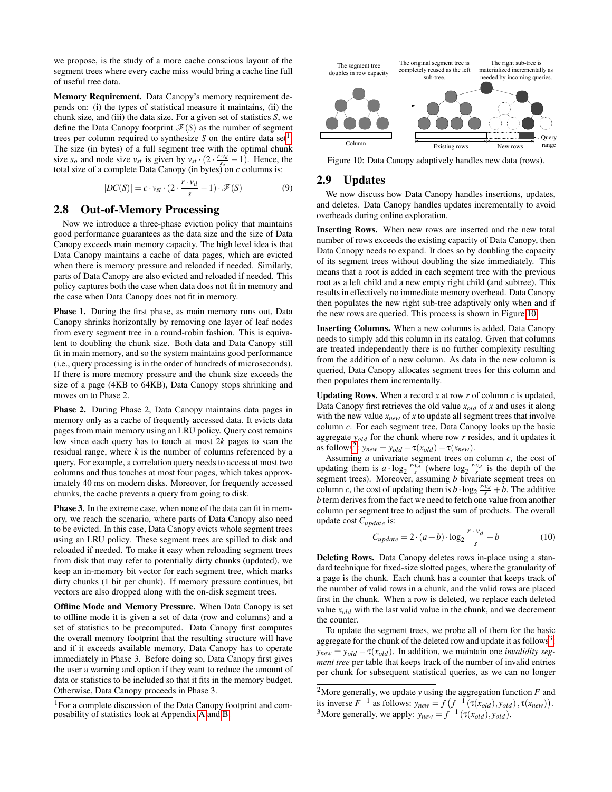we propose, is the study of a more cache conscious layout of the segment trees where every cache miss would bring a cache line full of useful tree data.

Memory Requirement. Data Canopy's memory requirement depends on: (i) the types of statistical measure it maintains, (ii) the chunk size, and (iii) the data size. For a given set of statistics *S*, we define the Data Canopy footprint  $\mathcal{F}(S)$  as the number of segment trees per column required to synthesize  $S$  on the entire data set<sup>[1](#page-7-1)</sup>. The size (in bytes) of a full segment tree with the optimal chunk size  $s_o$  and node size  $v_{st}$  is given by  $v_{st} \cdot (2 \cdot \frac{r \cdot v_d}{s_o} - 1)$ . Hence, the total size of a complete Data Canopy (in bytes) on  $c$  columns is:

$$
|DC(S)| = c \cdot v_{st} \cdot (2 \cdot \frac{r \cdot v_d}{s} - 1) \cdot \mathscr{F}(S)
$$
 (9)

### <span id="page-7-0"></span>2.8 Out-of-Memory Processing

Now we introduce a three-phase eviction policy that maintains good performance guarantees as the data size and the size of Data Canopy exceeds main memory capacity. The high level idea is that Data Canopy maintains a cache of data pages, which are evicted when there is memory pressure and reloaded if needed. Similarly, parts of Data Canopy are also evicted and reloaded if needed. This policy captures both the case when data does not fit in memory and the case when Data Canopy does not fit in memory.

Phase 1. During the first phase, as main memory runs out, Data Canopy shrinks horizontally by removing one layer of leaf nodes from every segment tree in a round-robin fashion. This is equivalent to doubling the chunk size. Both data and Data Canopy still fit in main memory, and so the system maintains good performance (i.e., query processing is in the order of hundreds of microseconds). If there is more memory pressure and the chunk size exceeds the size of a page (4KB to 64KB), Data Canopy stops shrinking and moves on to Phase 2.

Phase 2. During Phase 2, Data Canopy maintains data pages in memory only as a cache of frequently accessed data. It evicts data pages from main memory using an LRU policy. Query cost remains low since each query has to touch at most 2*k* pages to scan the residual range, where *k* is the number of columns referenced by a query. For example, a correlation query needs to access at most two columns and thus touches at most four pages, which takes approximately 40 ms on modern disks. Moreover, for frequently accessed chunks, the cache prevents a query from going to disk.

Phase 3. In the extreme case, when none of the data can fit in memory, we reach the scenario, where parts of Data Canopy also need to be evicted. In this case, Data Canopy evicts whole segment trees using an LRU policy. These segment trees are spilled to disk and reloaded if needed. To make it easy when reloading segment trees from disk that may refer to potentially dirty chunks (updated), we keep an in-memory bit vector for each segment tree, which marks dirty chunks (1 bit per chunk). If memory pressure continues, bit vectors are also dropped along with the on-disk segment trees.

Offline Mode and Memory Pressure. When Data Canopy is set to offline mode it is given a set of data (row and columns) and a set of statistics to be precomputed. Data Canopy first computes the overall memory footprint that the resulting structure will have and if it exceeds available memory, Data Canopy has to operate immediately in Phase 3. Before doing so, Data Canopy first gives the user a warning and option if they want to reduce the amount of data or statistics to be included so that it fits in the memory budget. Otherwise, Data Canopy proceeds in Phase 3.

<span id="page-7-2"></span>

Figure 10: Data Canopy adaptively handles new data (rows).

# 2.9 Updates

We now discuss how Data Canopy handles insertions, updates, and deletes. Data Canopy handles updates incrementally to avoid overheads during online exploration.

Inserting Rows. When new rows are inserted and the new total number of rows exceeds the existing capacity of Data Canopy, then Data Canopy needs to expand. It does so by doubling the capacity of its segment trees without doubling the size immediately. This means that a root is added in each segment tree with the previous root as a left child and a new empty right child (and subtree). This results in effectively no immediate memory overhead. Data Canopy then populates the new right sub-tree adaptively only when and if the new rows are queried. This process is shown in Figure [10.](#page-7-2)

Inserting Columns. When a new columns is added, Data Canopy needs to simply add this column in its catalog. Given that columns are treated independently there is no further complexity resulting from the addition of a new column. As data in the new column is queried, Data Canopy allocates segment trees for this column and then populates them incrementally.

**Updating Rows.** When a record  $x$  at row  $r$  of column  $c$  is updated, Data Canopy first retrieves the old value *xold* of *x* and uses it along with the new value  $x_{new}$  of  $x$  to update all segment trees that involve column *c*. For each segment tree, Data Canopy looks up the basic aggregate *yold* for the chunk where row *r* resides, and it updates it as follows<sup>[2](#page-7-3)</sup>:  $y_{new} = y_{old} - \tau(x_{old}) + \tau(x_{new})$ .

Assuming *a* univariate segment trees on column *c*, the cost of updating them is  $a \cdot \log_2 \frac{r \cdot v_d}{s}$  (where  $\log_2 \frac{r \cdot v_d}{s}$  is the depth of the segment trees). Moreover, assuming *b* bivariate segment trees on column *c*, the cost of updating them is  $b \cdot \log_2 \frac{r \cdot v_d}{s} + b$ . The additive *b* term derives from the fact we need to fetch one value from another column per segment tree to adjust the sum of products. The overall update cost *Cupdate* is:

$$
C_{update} = 2 \cdot (a+b) \cdot \log_2 \frac{r \cdot v_d}{s} + b \tag{10}
$$

Deleting Rows. Data Canopy deletes rows in-place using a standard technique for fixed-size slotted pages, where the granularity of a page is the chunk. Each chunk has a counter that keeps track of the number of valid rows in a chunk, and the valid rows are placed first in the chunk. When a row is deleted, we replace each deleted value  $x_{old}$  with the last valid value in the chunk, and we decrement the counter.

To update the segment trees, we probe all of them for the basic aggregate for the chunk of the deleted row and update it as follows<sup>[3](#page-7-4)</sup>:  $y_{new} = y_{old} - \tau(x_{old})$ . In addition, we maintain one *invalidity segment tree* per table that keeps track of the number of invalid entries per chunk for subsequent statistical queries, as we can no longer

<span id="page-7-1"></span><sup>&</sup>lt;sup>1</sup>For a complete discussion of the Data Canopy footprint and composability of statistics look at Appendix [A](#page-0-0) and [B.](#page-2-2)

<span id="page-7-4"></span><span id="page-7-3"></span><sup>2</sup>More generally, we update *y* using the aggregation function *F* and its inverse  $F^{-1}$  as follows:  $y_{new} = f(f^{-1}(\tau(x_{old}), y_{old}), \tau(x_{new}))$ . <sup>3</sup>More generally, we apply:  $y_{new} = f^{-1}(\tau(x_{old}), y_{old})$ .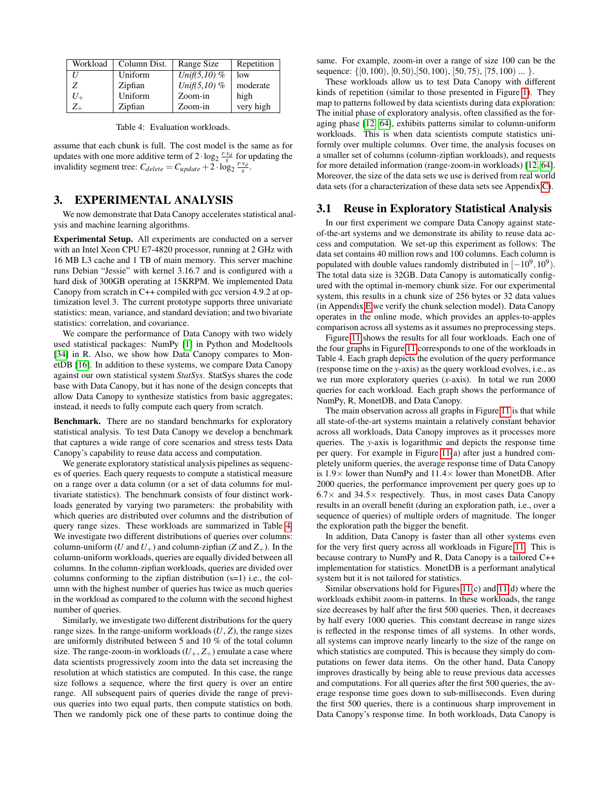<span id="page-8-0"></span>

| Workload | Column Dist. | Range Size     | Repetition |
|----------|--------------|----------------|------------|
|          | Uniform      | Unif(5,10) $%$ | low        |
| Z        | Zipfian      | Unif(5,10) $%$ | moderate   |
|          | Uniform      | Zoom-in        | high       |
|          | Zipfian      | Zoom-in        | very high  |

Table 4: Evaluation workloads.

assume that each chunk is full. The cost model is the same as for updates with one more additive term of  $2 \cdot \log_2 \frac{r \cdot v_d}{s}$  for updating the invalidity segment tree:  $C_{delete} = C_{update} + 2 \cdot \log_2 \frac{r \cdot v_d}{s}$ .

# <span id="page-8-1"></span>3. EXPERIMENTAL ANALYSIS

We now demonstrate that Data Canopy accelerates statistical analysis and machine learning algorithms.

Experimental Setup. All experiments are conducted on a server with an Intel Xeon CPU E7-4820 processor, running at 2 GHz with 16 MB L3 cache and 1 TB of main memory. This server machine runs Debian "Jessie" with kernel 3.16.7 and is configured with a hard disk of 300GB operating at 15KRPM. We implemented Data Canopy from scratch in C++ compiled with gcc version 4.9.2 at optimization level 3. The current prototype supports three univariate statistics: mean, variance, and standard deviation; and two bivariate statistics: correlation, and covariance.

We compare the performance of Data Canopy with two widely used statistical packages: NumPy [\[1\]](#page-11-0) in Python and Modeltools [\[34\]](#page-12-9) in R. Also, we show how Data Canopy compares to MonetDB [\[16\]](#page-12-13). In addition to these systems, we compare Data Canopy against our own statistical system *StatSys*. StatSys shares the code base with Data Canopy, but it has none of the design concepts that allow Data Canopy to synthesize statistics from basic aggregates; instead, it needs to fully compute each query from scratch.

Benchmark. There are no standard benchmarks for exploratory statistical analysis. To test Data Canopy we develop a benchmark that captures a wide range of core scenarios and stress tests Data Canopy's capability to reuse data access and computation.

We generate exploratory statistical analysis pipelines as sequences of queries. Each query requests to compute a statistical measure on a range over a data column (or a set of data columns for multivariate statistics). The benchmark consists of four distinct workloads generated by varying two parameters: the probability with which queries are distributed over columns and the distribution of query range sizes. These workloads are summarized in Table [4.](#page-8-0) We investigate two different distributions of queries over columns: column-uniform (*U* and  $U_+$ ) and column-zipfian (*Z* and  $Z_+$ ). In the column-uniform workloads, queries are equally divided between all columns. In the column-zipfian workloads, queries are divided over columns conforming to the zipfian distribution (s=1) i.e., the column with the highest number of queries has twice as much queries in the workload as compared to the column with the second highest number of queries.

Similarly, we investigate two different distributions for the query range sizes. In the range-uniform workloads  $(U, Z)$ , the range sizes are uniformly distributed between 5 and 10 % of the total column size. The range-zoom-in workloads  $(U_+, Z_+)$  emulate a case where data scientists progressively zoom into the data set increasing the resolution at which statistics are computed. In this case, the range size follows a sequence, where the first query is over an entire range. All subsequent pairs of queries divide the range of previous queries into two equal parts, then compute statistics on both. Then we randomly pick one of these parts to continue doing the same. For example, zoom-in over a range of size 100 can be the sequence: { $[0,100)$ ,  $[0,50)$ ,  $[50,100)$ ,  $[50,75)$ ,  $[75,100)$  ... }.

These workloads allow us to test Data Canopy with different kinds of repetition (similar to those presented in Figure [1\)](#page-1-0). They map to patterns followed by data scientists during data exploration: The initial phase of exploratory analysis, often classified as the foraging phase [\[12,](#page-12-14) [64\]](#page-12-15), exhibits patterns similar to column-uniform workloads. This is when data scientists compute statistics uniformly over multiple columns. Over time, the analysis focuses on a smaller set of columns (column-zipfian workloads), and requests for more detailed information (range-zoom-in workloads) [\[12,](#page-12-14) [64\]](#page-12-15). Moreover, the size of the data sets we use is derived from real world data sets (for a characterization of these data sets see Appendix [C\)](#page-8-1).

#### 3.1 Reuse in Exploratory Statistical Analysis

In our first experiment we compare Data Canopy against stateof-the-art systems and we demonstrate its ability to reuse data access and computation. We set-up this experiment as follows: The data set contains 40 million rows and 100 columns. Each column is populated with double values randomly distributed in  $[-10^9, 10^9)$ . The total data size is 32GB. Data Canopy is automatically configured with the optimal in-memory chunk size. For our experimental system, this results in a chunk size of 256 bytes or 32 data values (in Appendix [E](#page-11-4) we verify the chunk selection model). Data Canopy operates in the online mode, which provides an apples-to-apples comparison across all systems as it assumes no preprocessing steps.

Figure [11](#page-9-0) shows the results for all four workloads. Each one of the four graphs in Figure [11](#page-9-0) corresponds to one of the workloads in Table 4. Each graph depicts the evolution of the query performance (response time on the *y*-axis) as the query workload evolves, i.e., as we run more exploratory queries (*x*-axis). In total we run 2000 queries for each workload. Each graph shows the performance of NumPy, R, MonetDB, and Data Canopy.

The main observation across all graphs in Figure [11](#page-9-0) is that while all state-of-the-art systems maintain a relatively constant behavior across all workloads, Data Canopy improves as it processes more queries. The *y*-axis is logarithmic and depicts the response time per query. For example in Figure [11\(](#page-9-0)a) after just a hundred completely uniform queries, the average response time of Data Canopy is  $1.9\times$  lower than NumPy and  $11.4\times$  lower than MonetDB. After 2000 queries, the performance improvement per query goes up to  $6.7\times$  and  $34.5\times$  respectively. Thus, in most cases Data Canopy results in an overall benefit (during an exploration path, i.e., over a sequence of queries) of multiple orders of magnitude. The longer the exploration path the bigger the benefit.

In addition, Data Canopy is faster than all other systems even for the very first query across all workloads in Figure [11.](#page-9-0) This is because contrary to NumPy and R, Data Canopy is a tailored C++ implementation for statistics. MonetDB is a performant analytical system but it is not tailored for statistics.

Similar observations hold for Figures [11\(](#page-9-0)c) and [11\(](#page-9-0)d) where the workloads exhibit zoom-in patterns. In these workloads, the range size decreases by half after the first 500 queries. Then, it decreases by half every 1000 queries. This constant decrease in range sizes is reflected in the response times of all systems. In other words, all systems can improve nearly linearly to the size of the range on which statistics are computed. This is because they simply do computations on fewer data items. On the other hand, Data Canopy improves drastically by being able to reuse previous data accesses and computations. For all queries after the first 500 queries, the average response time goes down to sub-milliseconds. Even during the first 500 queries, there is a continuous sharp improvement in Data Canopy's response time. In both workloads, Data Canopy is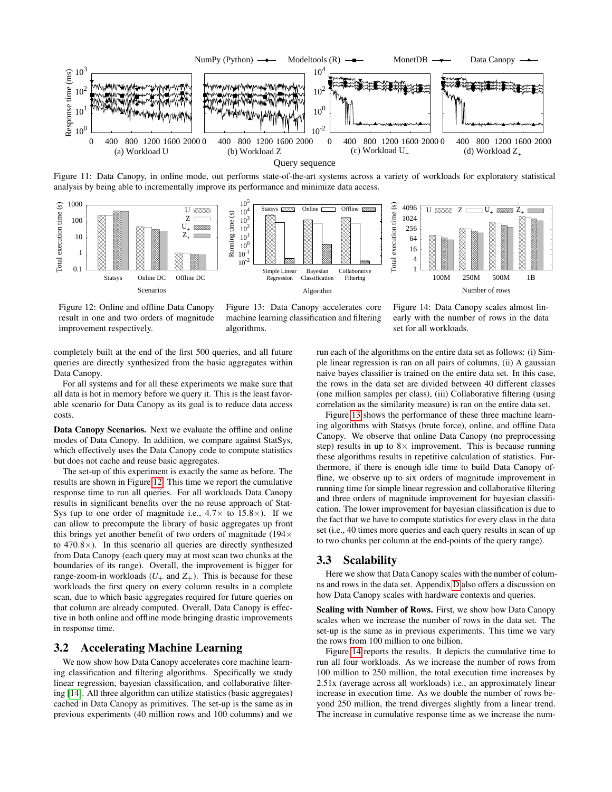<span id="page-9-0"></span>

Figure 11: Data Canopy, in online mode, out performs state-of-the-art systems across a variety of workloads for exploratory statistical analysis by being able to incrementally improve its performance and minimize data access.



Figure 12: Online and offline Data Canopy result in one and two orders of magnitude improvement respectively.

Figure 13: Data Canopy accelerates core machine learning classification and filtering algorithms.

Figure 14: Data Canopy scales almost linearly with the number of rows in the data set for all workloads.

completely built at the end of the first 500 queries, and all future queries are directly synthesized from the basic aggregates within Data Canopy.

For all systems and for all these experiments we make sure that all data is hot in memory before we query it. This is the least favorable scenario for Data Canopy as its goal is to reduce data access costs.

Data Canopy Scenarios. Next we evaluate the offline and online modes of Data Canopy. In addition, we compare against StatSys, which effectively uses the Data Canopy code to compute statistics but does not cache and reuse basic aggregates.

The set-up of this experiment is exactly the same as before. The results are shown in Figure [12.](#page-9-0) This time we report the cumulative response time to run all queries. For all workloads Data Canopy results in significant benefits over the no reuse approach of Stat-Sys (up to one order of magnitude i.e.,  $4.7\times$  to  $15.8\times$ ). If we can allow to precompute the library of basic aggregates up front this brings yet another benefit of two orders of magnitude (194 $\times$ to 470.8×). In this scenario all queries are directly synthesized from Data Canopy (each query may at most scan two chunks at the boundaries of its range). Overall, the improvement is bigger for range-zoom-in workloads  $(U_+$  and  $Z_+$ ). This is because for these workloads the first query on every column results in a complete scan, due to which basic aggregates required for future queries on that column are already computed. Overall, Data Canopy is effective in both online and offline mode bringing drastic improvements in response time.

### 3.2 Accelerating Machine Learning

We now show how Data Canopy accelerates core machine learning classification and filtering algorithms. Specifically we study linear regression, bayesian classification, and collaborative filtering [\[14\]](#page-12-2). All three algorithm can utilize statistics (basic aggregates) cached in Data Canopy as primitives. The set-up is the same as in previous experiments (40 million rows and 100 columns) and we run each of the algorithms on the entire data set as follows: (i) Simple linear regression is ran on all pairs of columns, (ii) A gaussian naive bayes classifier is trained on the entire data set. In this case, the rows in the data set are divided between 40 different classes (one million samples per class), (iii) Collaborative filtering (using correlation as the similarity measure) is ran on the entire data set.

Figure [13](#page-9-0) shows the performance of these three machine learning algorithms with Statsys (brute force), online, and offline Data Canopy. We observe that online Data Canopy (no preprocessing step) results in up to  $8 \times$  improvement. This is because running these algorithms results in repetitive calculation of statistics. Furthermore, if there is enough idle time to build Data Canopy offline, we observe up to six orders of magnitude improvement in running time for simple linear regression and collaborative filtering and three orders of magnitude improvement for bayesian classification. The lower improvement for bayesian classification is due to the fact that we have to compute statistics for every class in the data set (i.e., 40 times more queries and each query results in scan of up to two chunks per column at the end-points of the query range).

#### 3.3 Scalability

Here we show that Data Canopy scales with the number of columns and rows in the data set. Appendix [D](#page-10-0) also offers a discussion on how Data Canopy scales with hardware contexts and queries.

Scaling with Number of Rows. First, we show how Data Canopy scales when we increase the number of rows in the data set. The set-up is the same as in previous experiments. This time we vary the rows from 100 million to one billion.

Figure [14](#page-9-0) reports the results. It depicts the cumulative time to run all four workloads. As we increase the number of rows from 100 million to 250 million, the total execution time increases by 2.51x (average across all workloads) i.e., an approximately linear increase in execution time. As we double the number of rows beyond 250 million, the trend diverges slightly from a linear trend. The increase in cumulative response time as we increase the num-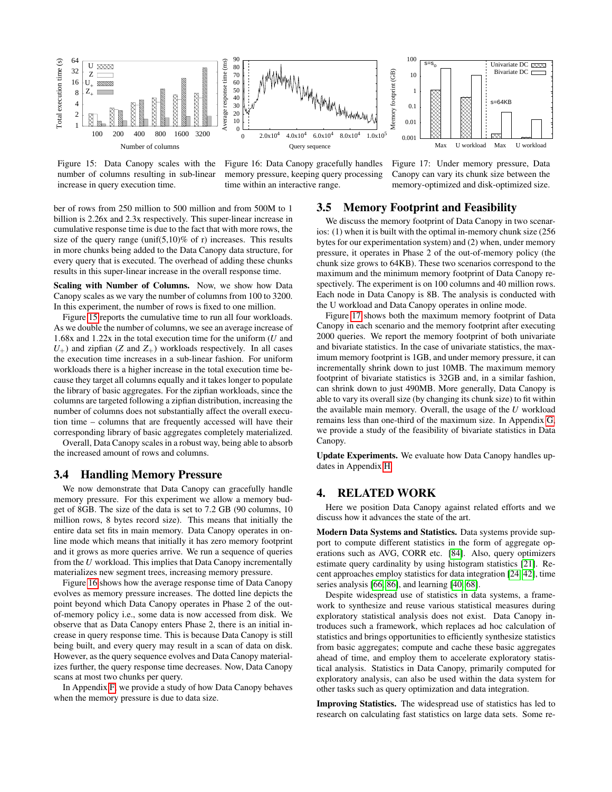<span id="page-10-1"></span>

Figure 15: Data Canopy scales with the number of columns resulting in sub-linear increase in query execution time.

Figure 16: Data Canopy gracefully handles memory pressure, keeping query processing time within an interactive range.

ber of rows from 250 million to 500 million and from 500M to 1 billion is 2.26x and 2.3x respectively. This super-linear increase in cumulative response time is due to the fact that with more rows, the size of the query range (unif(5,10)% of r) increases. This results in more chunks being added to the Data Canopy data structure, for every query that is executed. The overhead of adding these chunks results in this super-linear increase in the overall response time.

Scaling with Number of Columns. Now, we show how Data Canopy scales as we vary the number of columns from 100 to 3200. In this experiment, the number of rows is fixed to one million.

Figure [15](#page-10-1) reports the cumulative time to run all four workloads. As we double the number of columns, we see an average increase of 1.68x and 1.22x in the total execution time for the uniform (*U* and  $U_{+}$ ) and zipfian (*Z* and  $Z_{+}$ ) workloads respectively. In all cases the execution time increases in a sub-linear fashion. For uniform workloads there is a higher increase in the total execution time because they target all columns equally and it takes longer to populate the library of basic aggregates. For the zipfian workloads, since the columns are targeted following a zipfian distribution, increasing the number of columns does not substantially affect the overall execution time – columns that are frequently accessed will have their corresponding library of basic aggregates completely materialized.

Overall, Data Canopy scales in a robust way, being able to absorb the increased amount of rows and columns.

#### 3.4 Handling Memory Pressure

We now demonstrate that Data Canopy can gracefully handle memory pressure. For this experiment we allow a memory budget of 8GB. The size of the data is set to 7.2 GB (90 columns, 10 million rows, 8 bytes record size). This means that initially the entire data set fits in main memory. Data Canopy operates in online mode which means that initially it has zero memory footprint and it grows as more queries arrive. We run a sequence of queries from the *U* workload. This implies that Data Canopy incrementally materializes new segment trees, increasing memory pressure.

Figure [16](#page-10-1) shows how the average response time of Data Canopy evolves as memory pressure increases. The dotted line depicts the point beyond which Data Canopy operates in Phase 2 of the outof-memory policy i.e., some data is now accessed from disk. We observe that as Data Canopy enters Phase 2, there is an initial increase in query response time. This is because Data Canopy is still being built, and every query may result in a scan of data on disk. However, as the query sequence evolves and Data Canopy materializes further, the query response time decreases. Now, Data Canopy scans at most two chunks per query.

In Appendix [F,](#page-11-5) we provide a study of how Data Canopy behaves when the memory pressure is due to data size.

Figure 17: Under memory pressure, Data Canopy can vary its chunk size between the memory-optimized and disk-optimized size.

#### 3.5 Memory Footprint and Feasibility

We discuss the memory footprint of Data Canopy in two scenarios: (1) when it is built with the optimal in-memory chunk size (256 bytes for our experimentation system) and (2) when, under memory pressure, it operates in Phase 2 of the out-of-memory policy (the chunk size grows to 64KB). These two scenarios correspond to the maximum and the minimum memory footprint of Data Canopy respectively. The experiment is on 100 columns and 40 million rows. Each node in Data Canopy is 8B. The analysis is conducted with the U workload and Data Canopy operates in online mode.

Figure [17](#page-10-1) shows both the maximum memory footprint of Data Canopy in each scenario and the memory footprint after executing 2000 queries. We report the memory footprint of both univariate and bivariate statistics. In the case of univariate statistics, the maximum memory footprint is 1GB, and under memory pressure, it can incrementally shrink down to just 10MB. The maximum memory footprint of bivariate statistics is 32GB and, in a similar fashion, can shrink down to just 490MB. More generally, Data Canopy is able to vary its overall size (by changing its chunk size) to fit within the available main memory. Overall, the usage of the *U* workload remains less than one-third of the maximum size. In Appendix [G,](#page-14-0) we provide a study of the feasibility of bivariate statistics in Data Canopy.

Update Experiments. We evaluate how Data Canopy handles updates in Appendix [H.](#page-15-0)

#### <span id="page-10-0"></span>4. RELATED WORK

Here we position Data Canopy against related efforts and we discuss how it advances the state of the art.

Modern Data Systems and Statistics. Data systems provide support to compute different statistics in the form of aggregate operations such as AVG, CORR etc. [\[84\]](#page-13-6). Also, query optimizers estimate query cardinality by using histogram statistics [\[21\]](#page-12-16). Recent approaches employ statistics for data integration [\[24,](#page-12-17) [42\]](#page-12-18), time series analysis [\[66,](#page-13-7) [86\]](#page-13-8), and learning [\[40,](#page-12-19) [68\]](#page-13-9).

Despite widespread use of statistics in data systems, a framework to synthesize and reuse various statistical measures during exploratory statistical analysis does not exist. Data Canopy introduces such a framework, which replaces ad hoc calculation of statistics and brings opportunities to efficiently synthesize statistics from basic aggregates; compute and cache these basic aggregates ahead of time, and employ them to accelerate exploratory statistical analysis. Statistics in Data Canopy, primarily computed for exploratory analysis, can also be used within the data system for other tasks such as query optimization and data integration.

Improving Statistics. The widespread use of statistics has led to research on calculating fast statistics on large data sets. Some re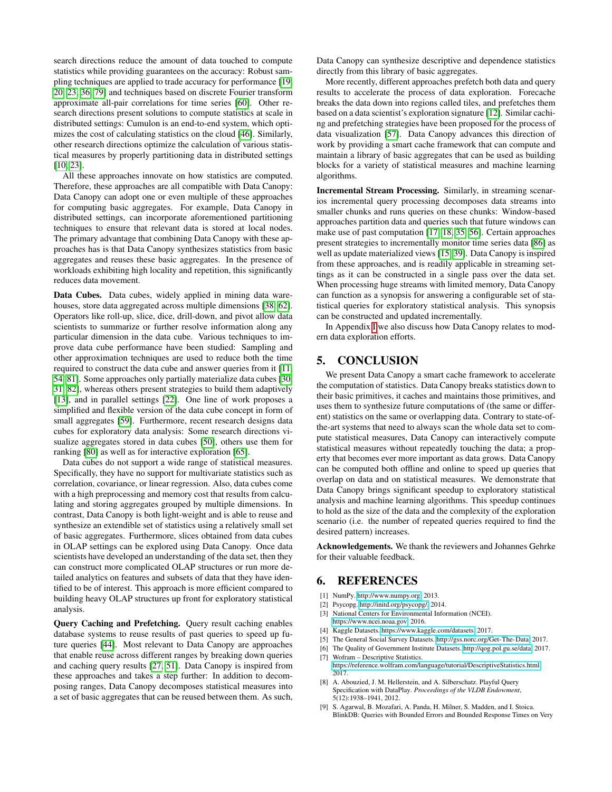search directions reduce the amount of data touched to compute statistics while providing guarantees on the accuracy: Robust sampling techniques are applied to trade accuracy for performance [\[19,](#page-12-20) [20,](#page-12-21) [23,](#page-12-22) [36,](#page-12-23) [79\]](#page-13-10) and techniques based on discrete Fourier transform approximate all-pair correlations for time series [\[60\]](#page-12-24). Other research directions present solutions to compute statistics at scale in distributed settings: Cumulon is an end-to-end system, which optimizes the cost of calculating statistics on the cloud [\[46\]](#page-12-25). Similarly, other research directions optimize the calculation of various statistical measures by properly partitioning data in distributed settings [\[10,](#page-12-26) [23\]](#page-12-22).

All these approaches innovate on how statistics are computed. Therefore, these approaches are all compatible with Data Canopy: Data Canopy can adopt one or even multiple of these approaches for computing basic aggregates. For example, Data Canopy in distributed settings, can incorporate aforementioned partitioning techniques to ensure that relevant data is stored at local nodes. The primary advantage that combining Data Canopy with these approaches has is that Data Canopy synthesizes statistics from basic aggregates and reuses these basic aggregates. In the presence of workloads exhibiting high locality and repetition, this significantly reduces data movement.

Data Cubes. Data cubes, widely applied in mining data warehouses, store data aggregated across multiple dimensions [\[38,](#page-12-27) [62\]](#page-12-28). Operators like roll-up, slice, dice, drill-down, and pivot allow data scientists to summarize or further resolve information along any particular dimension in the data cube. Various techniques to improve data cube performance have been studied: Sampling and other approximation techniques are used to reduce both the time required to construct the data cube and answer queries from it [\[11,](#page-12-29) [54,](#page-12-30) [81\]](#page-13-11). Some approaches only partially materialize data cubes [\[30,](#page-12-31) [31,](#page-12-32) [82\]](#page-13-12), whereas others present strategies to build them adaptively [\[13\]](#page-12-33), and in parallel settings [\[22\]](#page-12-34). One line of work proposes a simplified and flexible version of the data cube concept in form of small aggregates [\[59\]](#page-12-35). Furthermore, recent research designs data cubes for exploratory data analysis: Some research directions visualize aggregates stored in data cubes [\[50\]](#page-12-36), others use them for ranking [\[80\]](#page-13-13) as well as for interactive exploration [\[65\]](#page-13-14).

Data cubes do not support a wide range of statistical measures. Specifically, they have no support for multivariate statistics such as correlation, covariance, or linear regression. Also, data cubes come with a high preprocessing and memory cost that results from calculating and storing aggregates grouped by multiple dimensions. In contrast, Data Canopy is both light-weight and is able to reuse and synthesize an extendible set of statistics using a relatively small set of basic aggregates. Furthermore, slices obtained from data cubes in OLAP settings can be explored using Data Canopy. Once data scientists have developed an understanding of the data set, then they can construct more complicated OLAP structures or run more detailed analytics on features and subsets of data that they have identified to be of interest. This approach is more efficient compared to building heavy OLAP structures up front for exploratory statistical analysis.

Query Caching and Prefetching. Query result caching enables database systems to reuse results of past queries to speed up future queries [\[44\]](#page-12-37). Most relevant to Data Canopy are approaches that enable reuse across different ranges by breaking down queries and caching query results [\[27,](#page-12-38) [51\]](#page-12-39). Data Canopy is inspired from these approaches and takes a step further: In addition to decomposing ranges, Data Canopy decomposes statistical measures into a set of basic aggregates that can be reused between them. As such,

Data Canopy can synthesize descriptive and dependence statistics directly from this library of basic aggregates.

More recently, different approaches prefetch both data and query results to accelerate the process of data exploration. Forecache breaks the data down into regions called tiles, and prefetches them based on a data scientist's exploration signature [\[12\]](#page-12-14). Similar caching and prefetching strategies have been proposed for the process of data visualization [\[57\]](#page-12-40). Data Canopy advances this direction of work by providing a smart cache framework that can compute and maintain a library of basic aggregates that can be used as building blocks for a variety of statistical measures and machine learning algorithms.

Incremental Stream Processing. Similarly, in streaming scenarios incremental query processing decomposes data streams into smaller chunks and runs queries on these chunks: Window-based approaches partition data and queries such that future windows can make use of past computation [\[17,](#page-12-41) [18,](#page-12-42) [35,](#page-12-43) [56\]](#page-12-44). Certain approaches present strategies to incrementally monitor time series data [\[86\]](#page-13-8) as well as update materialized views [\[15,](#page-12-45) [39\]](#page-12-46). Data Canopy is inspired from these approaches, and is readily applicable in streaming settings as it can be constructed in a single pass over the data set. When processing huge streams with limited memory, Data Canopy can function as a synopsis for answering a configurable set of statistical queries for exploratory statistical analysis. This synopsis can be constructed and updated incrementally.

In Appendix [I](#page-15-1) we also discuss how Data Canopy relates to modern data exploration efforts.

# <span id="page-11-4"></span>5. CONCLUSION

We present Data Canopy a smart cache framework to accelerate the computation of statistics. Data Canopy breaks statistics down to their basic primitives, it caches and maintains those primitives, and uses them to synthesize future computations of (the same or different) statistics on the same or overlapping data. Contrary to state-ofthe-art systems that need to always scan the whole data set to compute statistical measures, Data Canopy can interactively compute statistical measures without repeatedly touching the data; a property that becomes ever more important as data grows. Data Canopy can be computed both offline and online to speed up queries that overlap on data and on statistical measures. We demonstrate that Data Canopy brings significant speedup to exploratory statistical analysis and machine learning algorithms. This speedup continues to hold as the size of the data and the complexity of the exploration scenario (i.e. the number of repeated queries required to find the desired pattern) increases.

Acknowledgements. We thank the reviewers and Johannes Gehrke for their valuable feedback.

#### <span id="page-11-5"></span>6. REFERENCES

- <span id="page-11-0"></span>[1] NumPy. [http://www.numpy.org,](http://www.numpy.org) 2013.
- <span id="page-11-1"></span>[2] Psycopg. [http://initd.org/psycopg/,](http://initd.org/psycopg/) 2014.
- <span id="page-11-2"></span>[3] National Centers for Environmental Information (NCEI). [https://www.ncei.noaa.gov,](https://www.ncei.noaa.gov) 2016.
- <span id="page-11-8"></span>[4] Kaggle Datasets. [https://www.kaggle.com/datasets,](https://www.kaggle.com/datasets) 2017.
- <span id="page-11-6"></span>[5] The General Social Survey Datasets. [http://gss.norc.org/Get-The-Data,](http://gss.norc.org/Get-The-Data) 2017.
- <span id="page-11-7"></span>[6] The Quality of Government Institute Datasets. [http://qog.pol.gu.se/data,](http://qog.pol.gu.se/data) 2017.
- <span id="page-11-3"></span>[7] Wofram – Descriptive Statistics.
- [https://reference.wolfram.com/language/tutorial/DescriptiveStatistics.html,](https://reference.wolfram.com/language/tutorial/DescriptiveStatistics.html) 2017.
- <span id="page-11-9"></span>[8] A. Abouzied, J. M. Hellerstein, and A. Silberschatz. Playful Query Specification with DataPlay. *Proceedings of the VLDB Endowment*, 5(12):1938–1941, 2012.
- <span id="page-11-10"></span>S. Agarwal, B. Mozafari, A. Panda, H. Milner, S. Madden, and I. Stoica. BlinkDB: Queries with Bounded Errors and Bounded Response Times on Very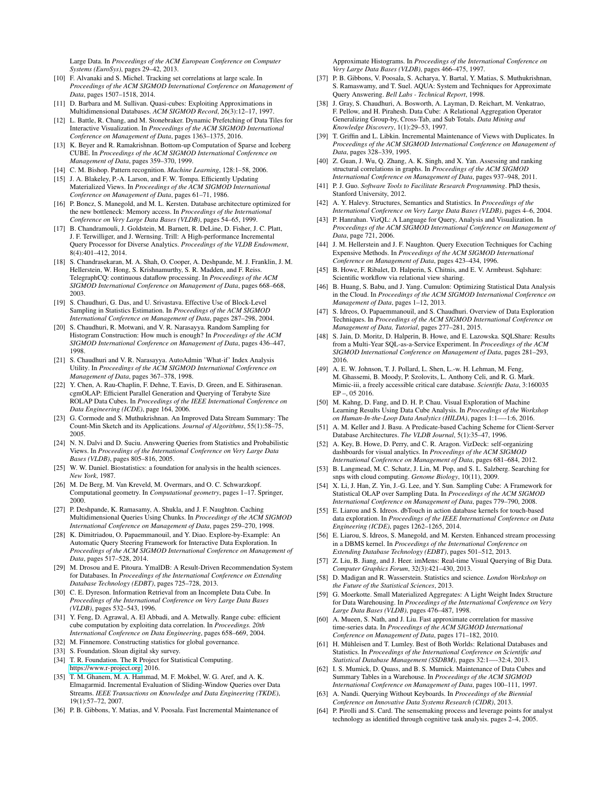Large Data. In *Proceedings of the ACM European Conference on Computer Systems (EuroSys)*, pages 29–42, 2013.

- <span id="page-12-26"></span>[10] F. Alvanaki and S. Michel. Tracking set correlations at large scale. In *Proceedings of the ACM SIGMOD International Conference on Management of Data*, pages 1507–1518, 2014.
- <span id="page-12-29"></span>[11] D. Barbara and M. Sullivan. Quasi-cubes: Exploiting Approximations in Multidimensional Databases. *ACM SIGMOD Record*, 26(3):12–17, 1997.
- <span id="page-12-14"></span>[12] L. Battle, R. Chang, and M. Stonebraker. Dynamic Prefetching of Data Tiles for Interactive Visualization. In *Proceedings of the ACM SIGMOD International Conference on Management of Data*, pages 1363–1375, 2016.
- <span id="page-12-33"></span>[13] K. Beyer and R. Ramakrishnan. Bottom-up Computation of Sparse and Iceberg CUBE. In *Proceedings of the ACM SIGMOD International Conference on Management of Data*, pages 359–370, 1999.
- <span id="page-12-2"></span>[14] C. M. Bishop. Pattern recognition. *Machine Learning*, 128:1–58, 2006.
- <span id="page-12-45"></span>[15] J. A. Blakeley, P.-A. Larson, and F. W. Tompa. Efficiently Updating Materialized Views. In *Proceedings of the ACM SIGMOD International Conference on Management of Data*, pages 61–71, 1986.
- <span id="page-12-13"></span>[16] P. Boncz, S. Manegold, and M. L. Kersten. Database architecture optimized for the new bottleneck: Memory access. In *Proceedings of the International Conference on Very Large Data Bases (VLDB)*, pages 54–65, 1999.
- <span id="page-12-41"></span>[17] B. Chandramouli, J. Goldstein, M. Barnett, R. DeLine, D. Fisher, J. C. Platt, J. F. Terwilliger, and J. Wernsing. Trill: A High-performance Incremental Query Processor for Diverse Analytics. *Proceedings of the VLDB Endowment*, 8(4):401–412, 2014.
- <span id="page-12-42"></span>[18] S. Chandrasekaran, M. A. Shah, O. Cooper, A. Deshpande, M. J. Franklin, J. M. Hellerstein, W. Hong, S. Krishnamurthy, S. R. Madden, and F. Reiss. TelegraphCQ: continuous dataflow processing. In *Proceedings of the ACM SIGMOD International Conference on Management of Data*, pages 668–668, 2003.
- <span id="page-12-20"></span>[19] S. Chaudhuri, G. Das, and U. Srivastava. Effective Use of Block-Level Sampling in Statistics Estimation. In *Proceedings of the ACM SIGMOD International Conference on Management of Data*, pages 287–298, 2004.
- <span id="page-12-21"></span>[20] S. Chaudhuri, R. Motwani, and V. R. Narasayya. Random Sampling for Histogram Construction: How much is enough? In *Proceedings of the ACM SIGMOD International Conference on Management of Data*, pages 436–447, 1998.
- <span id="page-12-16"></span>[21] S. Chaudhuri and V. R. Narasayya. AutoAdmin 'What-if' Index Analysis Utility. In *Proceedings of the ACM SIGMOD International Conference on Management of Data*, pages 367–378, 1998.
- <span id="page-12-34"></span>[22] Y. Chen, A. Rau-Chaplin, F. Dehne, T. Eavis, D. Green, and E. Sithirasenan. cgmOLAP: Efficient Parallel Generation and Querying of Terabyte Size ROLAP Data Cubes. In *Proceedings of the IEEE International Conference on Data Engineering (ICDE)*, page 164, 2006.
- <span id="page-12-22"></span>[23] G. Cormode and S. Muthukrishnan. An Improved Data Stream Summary: The Count-Min Sketch and its Applications. *Journal of Algorithms*, 55(1):58–75, 2005.
- <span id="page-12-17"></span>[24] N. N. Dalvi and D. Suciu. Answering Queries from Statistics and Probabilistic Views. In *Proceedings of the International Conference on Very Large Data Bases (VLDB)*, pages 805–816, 2005.
- <span id="page-12-3"></span>[25] W. W. Daniel. Biostatistics: a foundation for analysis in the health sciences. *New York*, 1987.
- <span id="page-12-12"></span>[26] M. De Berg, M. Van Kreveld, M. Overmars, and O. C. Schwarzkopf. Computational geometry. In *Computational geometry*, pages 1–17. Springer, 2000.
- <span id="page-12-38"></span>[27] P. Deshpande, K. Ramasamy, A. Shukla, and J. F. Naughton. Caching Multidimensional Queries Using Chunks. In *Proceedings of the ACM SIGMOD International Conference on Management of Data*, pages 259–270, 1998.
- <span id="page-12-48"></span>[28] K. Dimitriadou, O. Papaemmanouil, and Y. Diao. Explore-by-Example: An Automatic Query Steering Framework for Interactive Data Exploration. In *Proceedings of the ACM SIGMOD International Conference on Management of Data*, pages 517–528, 2014.
- <span id="page-12-49"></span>[29] M. Drosou and E. Pitoura. YmalDB: A Result-Driven Recommendation System for Databases. In *Proceedings of the International Conference on Extending Database Technology (EDBT)*, pages 725–728, 2013.
- <span id="page-12-31"></span>[30] C. E. Dyreson. Information Retrieval from an Incomplete Data Cube. In *Proceedings of the International Conference on Very Large Data Bases (VLDB)*, pages 532–543, 1996.
- <span id="page-12-32"></span>[31] Y. Feng, D. Agrawal, A. El Abbadi, and A. Metwally. Range cube: efficient cube computation by exploiting data correlation. In *Proceedings. 20th International Conference on Data Engineering*, pages 658–669, 2004.
- <span id="page-12-4"></span>[32] M. Finnemore. Constructing statistics for global governance.
- <span id="page-12-6"></span>[33] S. Foundation. Sloan digital sky survey.
- <span id="page-12-9"></span>[34] T. R. Foundation. The R Project for Statistical Computing. [https://www.r-project.org,](https://www.r-project.org) 2016.
- <span id="page-12-43"></span>[35] T. M. Ghanem, M. A. Hammad, M. F. Mokbel, W. G. Aref, and A. K. Elmagarmid. Incremental Evaluation of Sliding-Window Queries over Data Streams. *IEEE Transactions on Knowledge and Data Engineering (TKDE)*, 19(1):57–72, 2007.
- <span id="page-12-23"></span>[36] P. B. Gibbons, Y. Matias, and V. Poosala. Fast Incremental Maintenance of

Approximate Histograms. In *Proceedings of the International Conference on Very Large Data Bases (VLDB)*, pages 466–475, 1997.

- <span id="page-12-54"></span>[37] P. B. Gibbons, V. Poosala, S. Acharya, Y. Bartal, Y. Matias, S. Muthukrishnan, S. Ramaswamy, and T. Suel. AQUA: System and Techniques for Approximate Query Answering. *Bell Labs - Technical Report*, 1998.
- <span id="page-12-27"></span>[38] J. Gray, S. Chaudhuri, A. Bosworth, A. Layman, D. Reichart, M. Venkatrao, F. Pellow, and H. Pirahesh. Data Cube: A Relational Aggregation Operator Generalizing Group-by, Cross-Tab, and Sub Totals. *Data Mining and Knowledge Discovery*, 1(1):29–53, 1997.
- <span id="page-12-46"></span>[39] T. Griffin and L. Libkin. Incremental Maintenance of Views with Duplicates. In *Proceedings of the ACM SIGMOD International Conference on Management of Data*, pages 328–339, 1995.
- <span id="page-12-19"></span>[40] Z. Guan, J. Wu, Q. Zhang, A. K. Singh, and X. Yan. Assessing and ranking structural correlations in graphs. In *Proceedings of the ACM SIGMOD International Conference on Management of Data*, pages 937–948, 2011.
- <span id="page-12-0"></span>[41] P. J. Guo. *Software Tools to Facilitate Research Programming*. PhD thesis, Stanford University, 2012.
- <span id="page-12-18"></span>[42] A. Y. Halevy. Structures, Semantics and Statistics. In *Proceedings of the International Conference on Very Large Data Bases (VLDB)*, pages 4–6, 2004.
- <span id="page-12-53"></span>[43] P. Hanrahan. VizQL: A Language for Query, Analysis and Visualization. In *Proceedings of the ACM SIGMOD International Conference on Management of Data*, page 721, 2006.
- <span id="page-12-37"></span>[44] J. M. Hellerstein and J. F. Naughton. Query Execution Techniques for Caching Expensive Methods. In *Proceedings of the ACM SIGMOD International Conference on Management of Data*, pages 423–434, 1996.
- <span id="page-12-7"></span>[45] B. Howe, F. Ribalet, D. Halperin, S. Chitnis, and E. V. Armbrust. Sqlshare: Scientific workflow via relational view sharing.
- <span id="page-12-25"></span>[46] B. Huang, S. Babu, and J. Yang. Cumulon: Optimizing Statistical Data Analysis in the Cloud. In *Proceedings of the ACM SIGMOD International Conference on Management of Data*, pages 1–12, 2013.
- <span id="page-12-5"></span>[47] S. Idreos, O. Papaemmanouil, and S. Chaudhuri. Overview of Data Exploration Techniques. In *Proceedings of the ACM SIGMOD International Conference on Management of Data, Tutorial*, pages 277–281, 2015.
- <span id="page-12-8"></span>[48] S. Jain, D. Moritz, D. Halperin, B. Howe, and E. Lazowska. SQLShare: Results from a Multi-Year SQL-as-a-Service Experiment. In *Proceedings of the ACM SIGMOD International Conference on Management of Data*, pages 281–293, 2016.
- <span id="page-12-47"></span>[49] A. E. W. Johnson, T. J. Pollard, L. Shen, L.-w. H. Lehman, M. Feng, M. Ghassemi, B. Moody, P. Szolovits, L. Anthony Celi, and R. G. Mark. Mimic-iii, a freely accessible critical care database. *Scientific Data*, 3:160035 EP –, 05 2016.
- <span id="page-12-36"></span>[50] M. Kahng, D. Fang, and D. H. P. Chau. Visual Exploration of Machine Learning Results Using Data Cube Analysis. In *Proceedings of the Workshop on Human-In-the-Loop Data Analytics (HILDA)*, pages 1:1—-1:6, 2016.
- <span id="page-12-39"></span>[51] A. M. Keller and J. Basu. A Predicate-based Caching Scheme for Client-Server Database Architectures. *The VLDB Journal*, 5(1):35–47, 1996.
- <span id="page-12-50"></span>[52] A. Key, B. Howe, D. Perry, and C. R. Aragon. VizDeck: self-organizing dashboards for visual analytics. In *Proceedings of the ACM SIGMOD International Conference on Management of Data*, pages 681–684, 2012.
- <span id="page-12-11"></span>[53] B. Langmead, M. C. Schatz, J. Lin, M. Pop, and S. L. Salzberg. Searching for snps with cloud computing. *Genome Biology*, 10(11), 2009.
- <span id="page-12-30"></span>[54] X. Li, J. Han, Z. Yin, J.-G. Lee, and Y. Sun. Sampling Cube: A Framework for Statistical OLAP over Sampling Data. In *Proceedings of the ACM SIGMOD International Conference on Management of Data*, pages 779–790, 2008.
- <span id="page-12-51"></span>[55] E. Liarou and S. Idreos. dbTouch in action database kernels for touch-based data exploration. In *Proceedings of the IEEE International Conference on Data Engineering (ICDE)*, pages 1262–1265, 2014.
- <span id="page-12-44"></span>[56] E. Liarou, S. Idreos, S. Manegold, and M. Kersten. Enhanced stream processing in a DBMS kernel. In *Proceedings of the International Conference on Extending Database Technology (EDBT)*, pages 501–512, 2013.
- <span id="page-12-40"></span>[57] Z. Liu, B. Jiang, and J. Heer. imMens: Real-time Visual Querying of Big Data. *Computer Graphics Forum*, 32(3):421–430, 2013.
- <span id="page-12-1"></span>[58] D. Madigan and R. Wasserstein. Statistics and science. *London Workshop on the Future of the Statistical Sciences*, 2013.
- <span id="page-12-35"></span>[59] G. Moerkotte. Small Materialized Aggregates: A Light Weight Index Structure for Data Warehousing. In *Proceedings of the International Conference on Very Large Data Bases (VLDB)*, pages 476–487, 1998.
- <span id="page-12-24"></span>[60] A. Mueen, S. Nath, and J. Liu. Fast approximate correlation for massive time-series data. In *Proceedings of the ACM SIGMOD International Conference on Management of Data*, pages 171–182, 2010.
- <span id="page-12-10"></span>[61] H. Mühleisen and T. Lumley. Best of Both Worlds: Relational Databases and Statistics. In *Proceedings of the International Conference on Scientific and Statistical Database Management (SSDBM)*, pages 32:1—-32:4, 2013.
- <span id="page-12-28"></span>[62] I. S. Mumick, D. Quass, and B. S. Mumick. Maintenance of Data Cubes and Summary Tables in a Warehouse. In *Proceedings of the ACM SIGMOD International Conference on Management of Data*, pages 100–111, 1997.
- <span id="page-12-52"></span>[63] A. Nandi. Querying Without Keyboards. In *Proceedings of the Biennial Conference on Innovative Data Systems Research (CIDR)*, 2013.
- <span id="page-12-15"></span>[64] P. Pirolli and S. Card. The sensemaking process and leverage points for analyst technology as identified through cognitive task analysis. pages 2–4, 2005.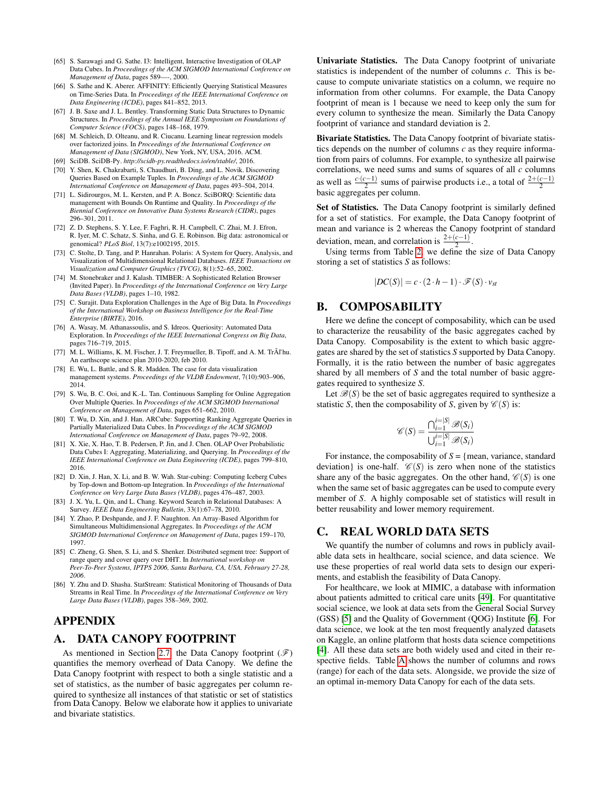- <span id="page-13-14"></span>[65] S. Sarawagi and G. Sathe. I3: Intelligent, Interactive Investigation of OLAP Data Cubes. In *Proceedings of the ACM SIGMOD International Conference on Management of Data*, pages 589—-, 2000.
- <span id="page-13-7"></span>[66] S. Sathe and K. Aberer. AFFINITY: Efficiently Querying Statistical Measures on Time-Series Data. In *Proceedings of the IEEE International Conference on Data Engineering (ICDE)*, pages 841–852, 2013.
- <span id="page-13-4"></span>[67] J. B. Saxe and J. L. Bentley. Transforming Static Data Structures to Dynamic Structures. In *Proceedings of the Annual IEEE Symposium on Foundations of Computer Science (FOCS)*, pages 148–168, 1979.
- <span id="page-13-9"></span>[68] M. Schleich, D. Olteanu, and R. Ciucanu. Learning linear regression models over factorized joins. In *Proceedings of the International Conference on Management of Data (SIGMOD)*, New York, NY, USA, 2016. ACM.
- <span id="page-13-2"></span>[69] SciDB. SciDB-Py. *http://scidb-py.readthedocs.io/en/stable/*, 2016.
- <span id="page-13-16"></span>[70] Y. Shen, K. Chakrabarti, S. Chaudhuri, B. Ding, and L. Novik. Discovering Queries Based on Example Tuples. In *Proceedings of the ACM SIGMOD International Conference on Management of Data*, pages 493–504, 2014.
- <span id="page-13-21"></span>[71] L. Sidirourgos, M. L. Kersten, and P. A. Boncz. SciBORQ: Scientific data management with Bounds On Runtime and Quality. In *Proceedings of the Biennial Conference on Innovative Data Systems Research (CIDR)*, pages 296–301, 2011.
- <span id="page-13-3"></span>[72] Z. D. Stephens, S. Y. Lee, F. Faghri, R. H. Campbell, C. Zhai, M. J. Efron, R. Iyer, M. C. Schatz, S. Sinha, and G. E. Robinson. Big data: astronomical or genomical? *PLoS Biol*, 13(7):e1002195, 2015.
- <span id="page-13-18"></span>[73] C. Stolte, D. Tang, and P. Hanrahan. Polaris: A System for Query, Analysis, and Visualization of Multidimensional Relational Databases. *IEEE Transactions on Visualization and Computer Graphics (TVCG)*, 8(1):52–65, 2002.
- <span id="page-13-19"></span>[74] M. Stonebraker and J. Kalash. TIMBER: A Sophisticated Relation Browser (Invited Paper). In *Proceedings of the International Conference on Very Large Data Bases (VLDB)*, pages 1–10, 1982.
- <span id="page-13-0"></span>[75] C. Surajit. Data Exploration Challenges in the Age of Big Data. In *Proceedings of the International Workshop on Business Intelligence for the Real-Time Enterprise (BIRTE)*, 2016.
- <span id="page-13-15"></span>[76] A. Wasay, M. Athanassoulis, and S. Idreos. Queriosity: Automated Data Exploration. In *Proceedings of the IEEE International Congress on Big Data*, pages 716–719, 2015.
- <span id="page-13-1"></span>[77] M. L. Williams, K. M. Fischer, J. T. Freymueller, B. Tipoff, and A. M. TrÃl'hu. An earthscope science plan 2010-2020, feb 2010.
- <span id="page-13-20"></span>[78] E. Wu, L. Battle, and S. R. Madden. The case for data visualization management systems. *Proceedings of the VLDB Endowment*, 7(10):903–906, 2014.
- <span id="page-13-10"></span>[79] S. Wu, B. C. Ooi, and K.-L. Tan. Continuous Sampling for Online Aggregation Over Multiple Queries. In *Proceedings of the ACM SIGMOD International Conference on Management of Data*, pages 651–662, 2010.
- <span id="page-13-13"></span>[80] T. Wu, D. Xin, and J. Han. ARCube: Supporting Ranking Aggregate Queries in Partially Materialized Data Cubes. In *Proceedings of the ACM SIGMOD International Conference on Management of Data*, pages 79–92, 2008.
- <span id="page-13-11"></span>[81] X. Xie, X. Hao, T. B. Pedersen, P. Jin, and J. Chen. OLAP Over Probabilistic Data Cubes I: Aggregating, Materializing, and Querying. In *Proceedings of the IEEE International Conference on Data Engineering (ICDE)*, pages 799–810, 2016.
- <span id="page-13-12"></span>[82] D. Xin, J. Han, X. Li, and B. W. Wah. Star-cubing: Computing Iceberg Cubes by Top-down and Bottom-up Integration. In *Proceedings of the International Conference on Very Large Data Bases (VLDB)*, pages 476–487, 2003.
- <span id="page-13-17"></span>[83] J. X. Yu, L. Qin, and L. Chang. Keyword Search in Relational Databases: A Survey. *IEEE Data Engineering Bulletin*, 33(1):67–78, 2010.
- <span id="page-13-6"></span>[84] Y. Zhao, P. Deshpande, and J. F. Naughton. An Array-Based Algorithm for Simultaneous Multidimensional Aggregates. In *Proceedings of the ACM SIGMOD International Conference on Management of Data*, pages 159–170, 1997.
- <span id="page-13-5"></span>[85] C. Zheng, G. Shen, S. Li, and S. Shenker. Distributed segment tree: Support of range query and cover query over DHT. In *International workshop on Peer-To-Peer Systems, IPTPS 2006, Santa Barbara, CA, USA, February 27-28, 2006*.
- <span id="page-13-8"></span>[86] Y. Zhu and D. Shasha. StatStream: Statistical Monitoring of Thousands of Data Streams in Real Time. In *Proceedings of the International Conference on Very Large Data Bases (VLDB)*, pages 358–369, 2002.

# APPENDIX

# A. DATA CANOPY FOOTPRINT

As mentioned in Section [2.7,](#page-6-4) the Data Canopy footprint  $(\mathscr{F})$ quantifies the memory overhead of Data Canopy. We define the Data Canopy footprint with respect to both a single statistic and a set of statistics, as the number of basic aggregates per column required to synthesize all instances of that statistic or set of statistics from Data Canopy. Below we elaborate how it applies to univariate and bivariate statistics.

Univariate Statistics. The Data Canopy footprint of univariate statistics is independent of the number of columns *c*. This is because to compute univariate statistics on a column, we require no information from other columns. For example, the Data Canopy footprint of mean is 1 because we need to keep only the sum for every column to synthesize the mean. Similarly the Data Canopy footprint of variance and standard deviation is 2.

Bivariate Statistics. The Data Canopy footprint of bivariate statistics depends on the number of columns *c* as they require information from pairs of columns. For example, to synthesize all pairwise correlations, we need sums and sums of squares of all *c* columns as well as  $\frac{c \cdot (c-1)}{2}$  sums of pairwise products i.e., a total of  $\frac{2+(c-1)}{2}$ basic aggregates per column.

Set of Statistics. The Data Canopy footprint is similarly defined for a set of statistics. For example, the Data Canopy footprint of mean and variance is 2 whereas the Canopy footprint of standard deviation, mean, and correlation is  $\frac{2+(c-1)}{2}$ .

Using terms from Table [2,](#page-3-0) we define the size of Data Canopy storing a set of statistics *S* as follows:

$$
|DC(S)| = c \cdot (2 \cdot h - 1) \cdot \mathscr{F}(S) \cdot v_{st}
$$

#### B. COMPOSABILITY

Here we define the concept of composability, which can be used to characterize the reusability of the basic aggregates cached by Data Canopy. Composability is the extent to which basic aggregates are shared by the set of statistics *S* supported by Data Canopy. Formally, it is the ratio between the number of basic aggregates shared by all members of *S* and the total number of basic aggregates required to synthesize *S*.

Let  $\mathcal{B}(S)$  be the set of basic aggregates required to synthesize a statistic *S*, then the composability of *S*, given by  $\mathcal{C}(S)$  is:

$$
\mathscr{C}(S) = \frac{\bigcap_{i=1}^{i=|S|} \mathscr{B}(S_i)}{\bigcup_{i=1}^{i=|S|} \mathscr{B}(S_i)}
$$

For instance, the composability of  $S = \{$  mean, variance, standard deviation} is one-half.  $\mathcal{C}(S)$  is zero when none of the statistics share any of the basic aggregates. On the other hand,  $\mathcal{C}(S)$  is one when the same set of basic aggregates can be used to compute every member of *S*. A highly composable set of statistics will result in better reusability and lower memory requirement.

#### C. REAL WORLD DATA SETS

We quantify the number of columns and rows in publicly available data sets in healthcare, social science, and data science. We use these properties of real world data sets to design our experiments, and establish the feasibility of Data Canopy.

For healthcare, we look at MIMIC, a database with information about patients admitted to critical care units [\[49\]](#page-12-47). For quantitative social science, we look at data sets from the General Social Survey (GSS) [\[5\]](#page-11-6) and the Quality of Government (QOG) Institute [\[6\]](#page-11-7). For data science, we look at the ten most frequently analyzed datasets on Kaggle, an online platform that hosts data science competitions [\[4\]](#page-11-8). All these data sets are both widely used and cited in their respective fields. Table [A](#page-14-1) shows the number of columns and rows (range) for each of the data sets. Alongside, we provide the size of an optimal in-memory Data Canopy for each of the data sets.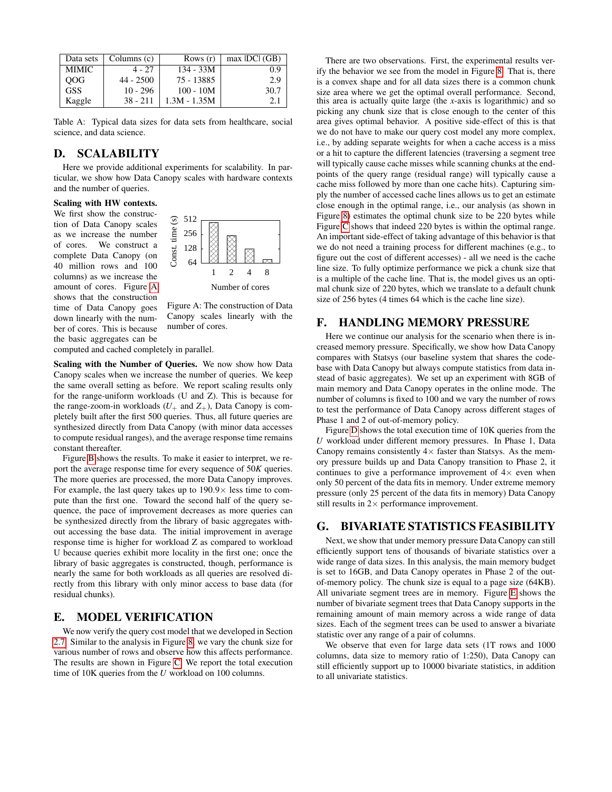<span id="page-14-1"></span>

| Data sets  | Columns (c) | Rows $(r)$     | $max$ IDCI (GB) |
|------------|-------------|----------------|-----------------|
| MIMIC.     | $4 - 27$    | $134 - 33M$    | 0.9             |
| <b>OOG</b> | $44 - 2500$ | 75 - 13885     | 2.9             |
| <b>GSS</b> | $10 - 296$  | $100 - 10M$    | 30.7            |
| Kaggle     | $38 - 211$  | $1.3M - 1.35M$ | 2.1             |

Table A: Typical data sizes for data sets from healthcare, social science, and data science.

# D. SCALABILITY

Here we provide additional experiments for scalability. In particular, we show how Data Canopy scales with hardware contexts and the number of queries.

#### Scaling with HW contexts.

We first show the construction of Data Canopy scales as we increase the number of cores. We construct a complete Data Canopy (on 40 million rows and 100 columns) as we increase the amount of cores. Figure [A](#page-14-2) shows that the construction time of Data Canopy goes down linearly with the number of cores. This is because the basic aggregates can be

<span id="page-14-2"></span>

Figure A: The construction of Data Canopy scales linearly with the number of cores.

computed and cached completely in parallel.

Scaling with the Number of Queries. We now show how Data Canopy scales when we increase the number of queries. We keep the same overall setting as before. We report scaling results only for the range-uniform workloads (U and Z). This is because for the range-zoom-in workloads  $(U_+$  and  $Z_+$ ), Data Canopy is completely built after the first 500 queries. Thus, all future queries are synthesized directly from Data Canopy (with minor data accesses to compute residual ranges), and the average response time remains constant thereafter.

Figure [B](#page-15-2) shows the results. To make it easier to interpret, we report the average response time for every sequence of 50*K* queries. The more queries are processed, the more Data Canopy improves. For example, the last query takes up to  $190.9\times$  less time to compute than the first one. Toward the second half of the query sequence, the pace of improvement decreases as more queries can be synthesized directly from the library of basic aggregates without accessing the base data. The initial improvement in average response time is higher for workload Z as compared to workload U because queries exhibit more locality in the first one; once the library of basic aggregates is constructed, though, performance is nearly the same for both workloads as all queries are resolved directly from this library with only minor access to base data (for residual chunks).

# E. MODEL VERIFICATION

We now verify the query cost model that we developed in Section [2.7.](#page-6-4) Similar to the analysis in Figure [8,](#page-6-1) we vary the chunk size for various number of rows and observe how this affects performance. The results are shown in Figure [C.](#page-15-2) We report the total execution time of 10K queries from the *U* workload on 100 columns.

 $128 \times 128$   $\frac{1}{128}$   $\frac{1}{128}$   $\frac{1}{128}$   $\frac{1}{128}$  we do not need a training process for different machines (e.g., to  $256 \begin{array}{c} 256 \end{array}$   $\begin{array}{c} \boxtimes \\ \boxtimes \end{array}$  An important side-effect of taking advantage of this behavior is that Number of cores mal chunk size of 220 bytes, which we translate to a default chunk There are two observations. First, the experimental results verify the behavior we see from the model in Figure [8.](#page-6-1) That is, there is a convex shape and for all data sizes there is a common chunk size area where we get the optimal overall performance. Second, this area is actually quite large (the *x*-axis is logarithmic) and so picking any chunk size that is close enough to the center of this area gives optimal behavior. A positive side-effect of this is that we do not have to make our query cost model any more complex, i.e., by adding separate weights for when a cache access is a miss or a hit to capture the different latencies (traversing a segment tree will typically cause cache misses while scanning chunks at the endpoints of the query range (residual range) will typically cause a cache miss followed by more than one cache hits). Capturing simply the number of accessed cache lines allows us to get an estimate close enough in the optimal range, i.e., our analysis (as shown in Figure [8\)](#page-6-1) estimates the optimal chunk size to be 220 bytes while Figure [C](#page-15-2) shows that indeed 220 bytes is within the optimal range. figure out the cost of different accesses) - all we need is the cache line size. To fully optimize performance we pick a chunk size that is a multiple of the cache line. That is, the model gives us an optisize of 256 bytes (4 times 64 which is the cache line size).

### F. HANDLING MEMORY PRESSURE

Here we continue our analysis for the scenario when there is increased memory pressure. Specifically, we show how Data Canopy compares with Statsys (our baseline system that shares the codebase with Data Canopy but always compute statistics from data instead of basic aggregates). We set up an experiment with 8GB of main memory and Data Canopy operates in the online mode. The number of columns is fixed to 100 and we vary the number of rows to test the performance of Data Canopy across different stages of Phase 1 and 2 of out-of-memory policy.

Figure [D](#page-15-2) shows the total execution time of 10K queries from the *U* workload under different memory pressures. In Phase 1, Data Canopy remains consistently  $4 \times$  faster than Statsys. As the memory pressure builds up and Data Canopy transition to Phase 2, it continues to give a performance improvement of  $4\times$  even when only 50 percent of the data fits in memory. Under extreme memory pressure (only 25 percent of the data fits in memory) Data Canopy still results in  $2 \times$  performance improvement.

# <span id="page-14-0"></span>G. BIVARIATE STATISTICS FEASIBILITY

Next, we show that under memory pressure Data Canopy can still efficiently support tens of thousands of bivariate statistics over a wide range of data sizes. In this analysis, the main memory budget is set to 16GB, and Data Canopy operates in Phase 2 of the outof-memory policy. The chunk size is equal to a page size (64KB). All univariate segment trees are in memory. Figure [E](#page-15-3) shows the number of bivariate segment trees that Data Canopy supports in the remaining amount of main memory across a wide range of data sizes. Each of the segment trees can be used to answer a bivariate statistic over any range of a pair of columns.

We observe that even for large data sets (1T rows and 1000 columns, data size to memory ratio of 1:250), Data Canopy can still efficiently support up to 10000 bivariate statistics, in addition to all univariate statistics.